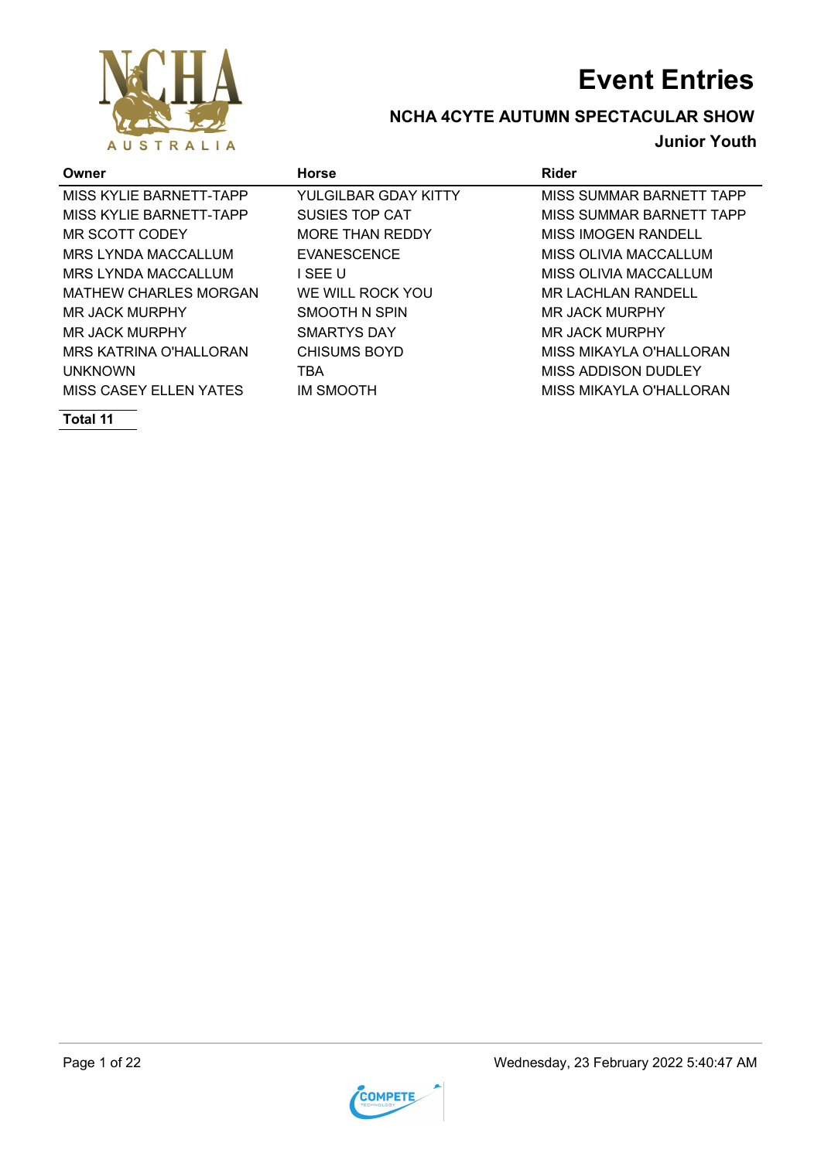

## **NCHA 4CYTE AUTUMN SPECTACULAR SHOW**

### **Junior Youth**

| Owner                         | <b>Horse</b>           | Rider                      |
|-------------------------------|------------------------|----------------------------|
| MISS KYLIE BARNETT-TAPP       | YULGILBAR GDAY KITTY   | MISS SUMMAR BARNETT TAPP   |
| MISS KYLIE BARNETT-TAPP       | SUSIES TOP CAT         | MISS SUMMAR BARNETT TAPP   |
| MR SCOTT CODEY                | <b>MORE THAN REDDY</b> | <b>MISS IMOGEN RANDELL</b> |
| MRS LYNDA MACCALLUM           | <b>EVANESCENCE</b>     | MISS OLIVIA MACCALLUM      |
| <b>MRS LYNDA MACCALLUM</b>    | I SEE U                | MISS OLIVIA MACCALLUM      |
| <b>MATHEW CHARLES MORGAN</b>  | WE WILL ROCK YOU       | <b>MR LACHLAN RANDELL</b>  |
| MR JACK MURPHY                | SMOOTH N SPIN          | MR JACK MURPHY             |
| MR JACK MURPHY                | SMARTYS DAY            | MR JACK MURPHY             |
| <b>MRS KATRINA O'HALLORAN</b> | <b>CHISUMS BOYD</b>    | MISS MIKAYLA O'HALLORAN    |
| <b>UNKNOWN</b>                | TBA                    | MISS ADDISON DUDLEY        |
| <b>MISS CASEY ELLEN YATES</b> | IM SMOOTH              | MISS MIKAYLA O'HALLORAN    |

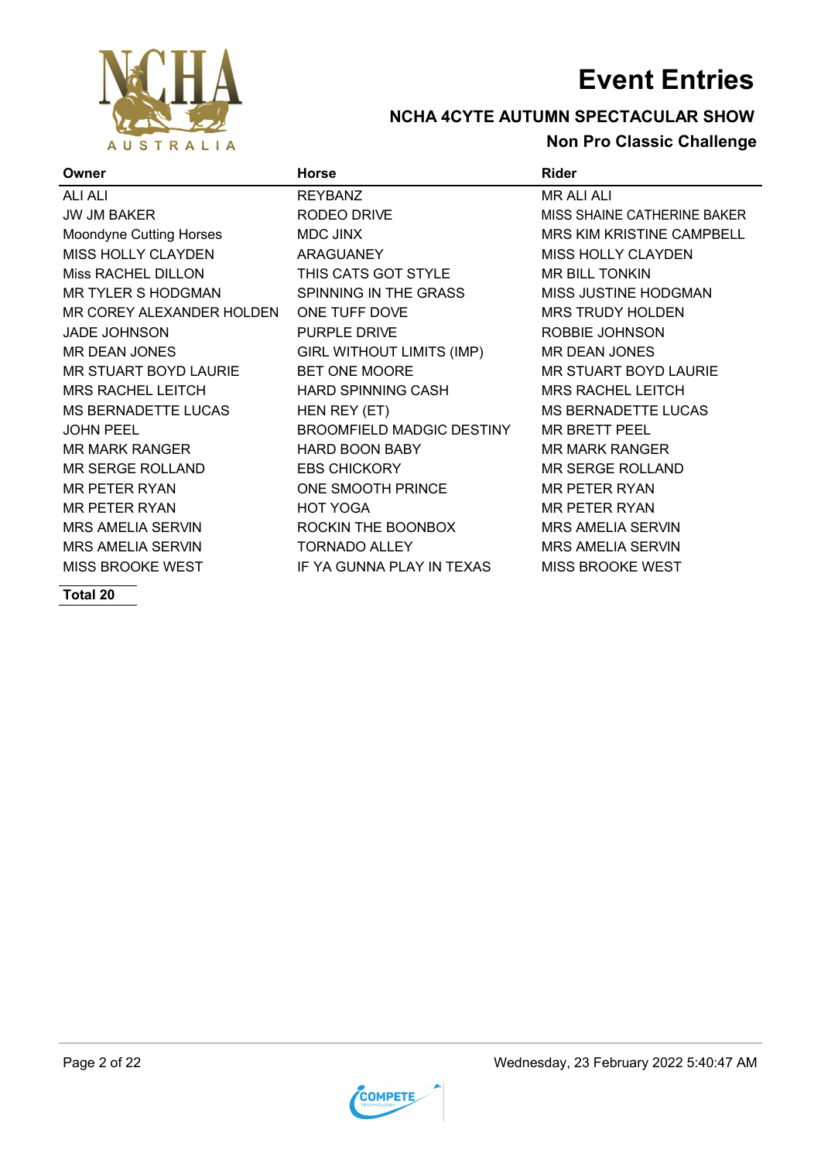

### **NCHA 4CYTE AUTUMN SPECTACULAR SHOW Non Pro Classic Challenge**

| Owner                      | <b>Horse</b>                     | <b>Rider</b>                       |
|----------------------------|----------------------------------|------------------------------------|
| <b>ALI ALI</b>             | <b>REYBANZ</b>                   | <b>MR ALI ALI</b>                  |
| <b>JW JM BAKER</b>         | RODEO DRIVE                      | <b>MISS SHAINE CATHERINE BAKER</b> |
| Moondyne Cutting Horses    | <b>MDC JINX</b>                  | MRS KIM KRISTINE CAMPBELL          |
| MISS HOLLY CLAYDEN         | <b>ARAGUANEY</b>                 | <b>MISS HOLLY CLAYDEN</b>          |
| Miss RACHEL DILLON         | THIS CATS GOT STYLE              | <b>MR BILL TONKIN</b>              |
| MR TYLER S HODGMAN         | SPINNING IN THE GRASS            | MISS JUSTINE HODGMAN               |
| MR COREY ALEXANDER HOLDEN  | ONE TUFF DOVE                    | <b>MRS TRUDY HOLDEN</b>            |
| <b>JADE JOHNSON</b>        | <b>PURPLE DRIVE</b>              | ROBBIE JOHNSON                     |
| MR DEAN JONES              | <b>GIRL WITHOUT LIMITS (IMP)</b> | <b>MR DEAN JONES</b>               |
| MR STUART BOYD LAURIE      | BET ONE MOORE                    | MR STUART BOYD LAURIE              |
| <b>MRS RACHEL LEITCH</b>   | <b>HARD SPINNING CASH</b>        | <b>MRS RACHEL LEITCH</b>           |
| <b>MS BERNADETTE LUCAS</b> | HEN REY (ET)                     | <b>MS BERNADETTE LUCAS</b>         |
| <b>JOHN PEEL</b>           | <b>BROOMFIELD MADGIC DESTINY</b> | <b>MR BRETT PEEL</b>               |
| <b>MR MARK RANGER</b>      | <b>HARD BOON BABY</b>            | <b>MR MARK RANGER</b>              |
| <b>MR SERGE ROLLAND</b>    | <b>EBS CHICKORY</b>              | <b>MR SERGE ROLLAND</b>            |
| <b>MR PETER RYAN</b>       | ONE SMOOTH PRINCE                | <b>MR PETER RYAN</b>               |
| <b>MR PETER RYAN</b>       | <b>HOT YOGA</b>                  | <b>MR PETER RYAN</b>               |
| <b>MRS AMELIA SERVIN</b>   | ROCKIN THE BOONBOX               | <b>MRS AMELIA SERVIN</b>           |
| <b>MRS AMELIA SERVIN</b>   | <b>TORNADO ALLEY</b>             | <b>MRS AMELIA SERVIN</b>           |
| <b>MISS BROOKE WEST</b>    | IF YA GUNNA PLAY IN TEXAS        | <b>MISS BROOKE WEST</b>            |
|                            |                                  |                                    |

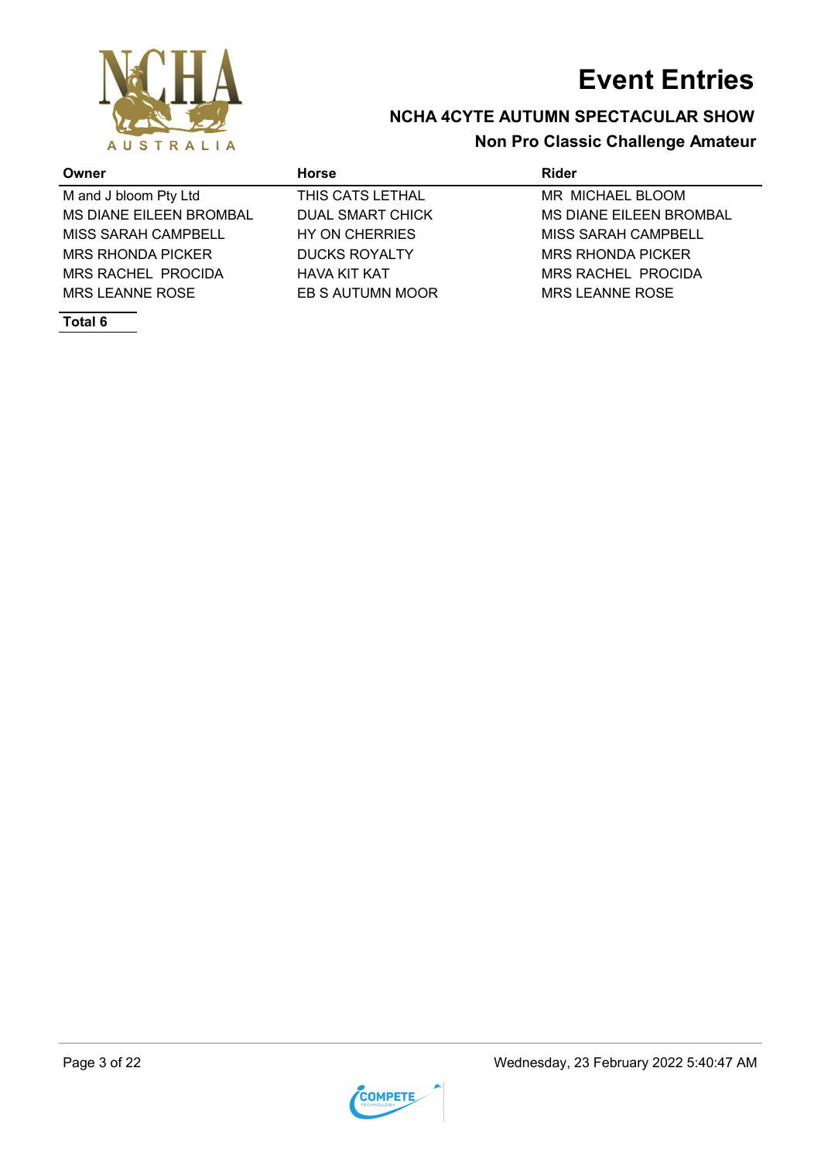



### **NCHA 4CYTE AUTUMN SPECTACULAR SHOW Non Pro Classic Challenge Amateur**

| Owner                          | <b>Horse</b>            | Rider                          |
|--------------------------------|-------------------------|--------------------------------|
| M and J bloom Pty Ltd          | THIS CATS LETHAL        | MR MICHAEL BLOOM               |
| <b>MS DIANE EILEEN BROMBAL</b> | <b>DUAL SMART CHICK</b> | <b>MS DIANE EILEEN BROMBAL</b> |
| MISS SARAH CAMPBELL            | HY ON CHERRIES          | MISS SARAH CAMPBELL            |
| <b>MRS RHONDA PICKER</b>       | <b>DUCKS ROYALTY</b>    | <b>MRS RHONDA PICKER</b>       |
| MRS RACHEL PROCIDA             | <b>HAVA KIT KAT</b>     | <b>MRS RACHEL PROCIDA</b>      |
| MRS LEANNE ROSE                | EB S AUTUMN MOOR        | MRS LEANNE ROSE                |
|                                |                         |                                |

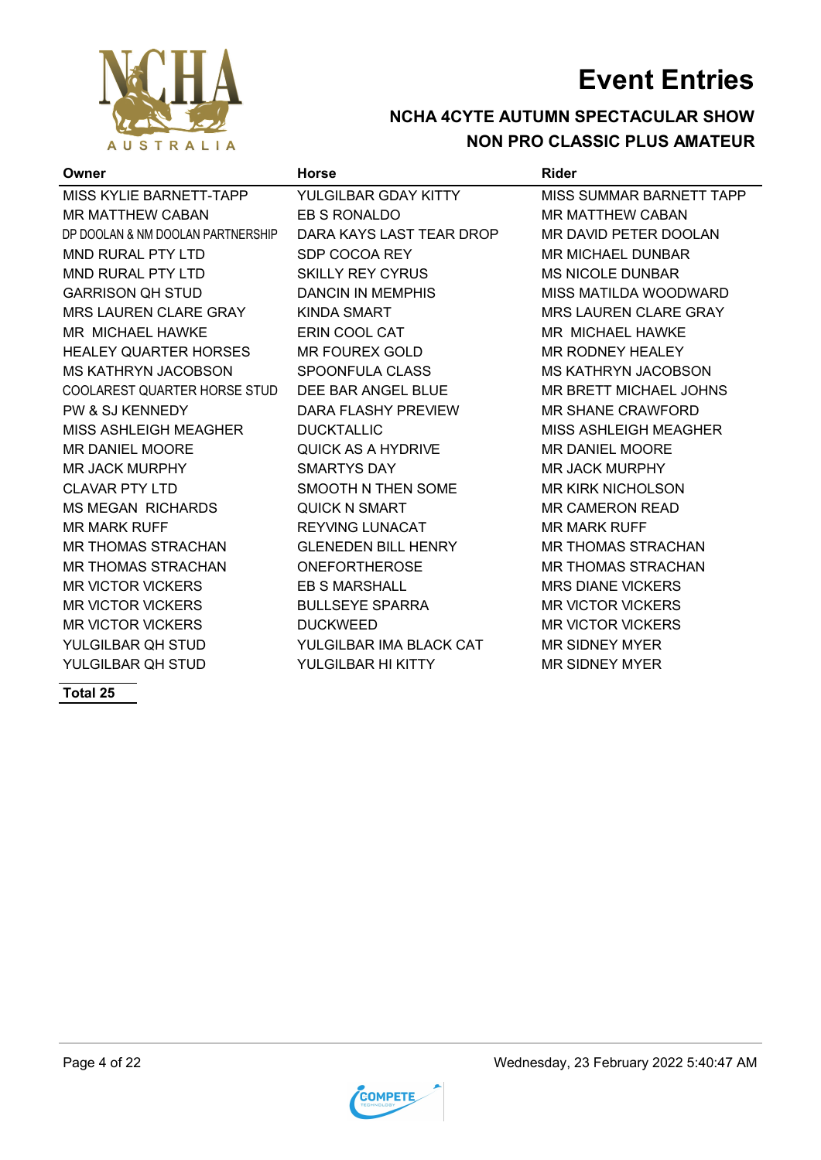

### **NCHA 4CYTE AUTUMN SPECTACULAR SHOW NON PRO CLASSIC PLUS AMATEUR**

| Owner                             | <b>Horse</b>               | <b>Rider</b>                 |
|-----------------------------------|----------------------------|------------------------------|
| MISS KYLIE BARNETT-TAPP           | YULGILBAR GDAY KITTY       | MISS SUMMAR BARNETT TAPP     |
| <b>MR MATTHEW CABAN</b>           | EB S RONALDO               | <b>MR MATTHEW CABAN</b>      |
| DP DOOLAN & NM DOOLAN PARTNERSHIP | DARA KAYS LAST TEAR DROP   | MR DAVID PETER DOOLAN        |
| <b>MND RURAL PTY LTD</b>          | SDP COCOA REY              | <b>MR MICHAEL DUNBAR</b>     |
| <b>MND RURAL PTY LTD</b>          | <b>SKILLY REY CYRUS</b>    | <b>MS NICOLE DUNBAR</b>      |
| <b>GARRISON QH STUD</b>           | DANCIN IN MEMPHIS          | MISS MATILDA WOODWARD        |
| <b>MRS LAUREN CLARE GRAY</b>      | <b>KINDA SMART</b>         | <b>MRS LAUREN CLARE GRAY</b> |
| <b>MR MICHAEL HAWKE</b>           | ERIN COOL CAT              | MR MICHAEL HAWKE             |
| <b>HEALEY QUARTER HORSES</b>      | <b>MR FOUREX GOLD</b>      | <b>MR RODNEY HEALEY</b>      |
| MS KATHRYN JACOBSON               | SPOONFULA CLASS            | <b>MS KATHRYN JACOBSON</b>   |
| COOLAREST QUARTER HORSE STUD      | DEE BAR ANGEL BLUE         | MR BRETT MICHAEL JOHNS       |
| PW & SJ KENNEDY                   | DARA FLASHY PREVIEW        | <b>MR SHANE CRAWFORD</b>     |
| MISS ASHLEIGH MEAGHER             | <b>DUCKTALLIC</b>          | <b>MISS ASHLEIGH MEAGHER</b> |
| <b>MR DANIEL MOORE</b>            | QUICK AS A HYDRIVE         | <b>MR DANIEL MOORE</b>       |
| <b>MR JACK MURPHY</b>             | <b>SMARTYS DAY</b>         | <b>MR JACK MURPHY</b>        |
| <b>CLAVAR PTY LTD</b>             | SMOOTH N THEN SOME         | <b>MR KIRK NICHOLSON</b>     |
| <b>MS MEGAN RICHARDS</b>          | <b>QUICK N SMART</b>       | <b>MR CAMERON READ</b>       |
| <b>MR MARK RUFF</b>               | <b>REYVING LUNACAT</b>     | <b>MR MARK RUFF</b>          |
| <b>MR THOMAS STRACHAN</b>         | <b>GLENEDEN BILL HENRY</b> | <b>MR THOMAS STRACHAN</b>    |
| <b>MR THOMAS STRACHAN</b>         | <b>ONEFORTHEROSE</b>       | <b>MR THOMAS STRACHAN</b>    |
| <b>MR VICTOR VICKERS</b>          | <b>EB S MARSHALL</b>       | <b>MRS DIANE VICKERS</b>     |
| <b>MR VICTOR VICKERS</b>          | <b>BULLSEYE SPARRA</b>     | <b>MR VICTOR VICKERS</b>     |
| <b>MR VICTOR VICKERS</b>          | <b>DUCKWEED</b>            | <b>MR VICTOR VICKERS</b>     |
| YULGILBAR QH STUD                 | YULGILBAR IMA BLACK CAT    | <b>MR SIDNEY MYER</b>        |
| YULGILBAR OH STUD                 | YULGILBAR HI KITTY         | <b>MR SIDNEY MYER</b>        |

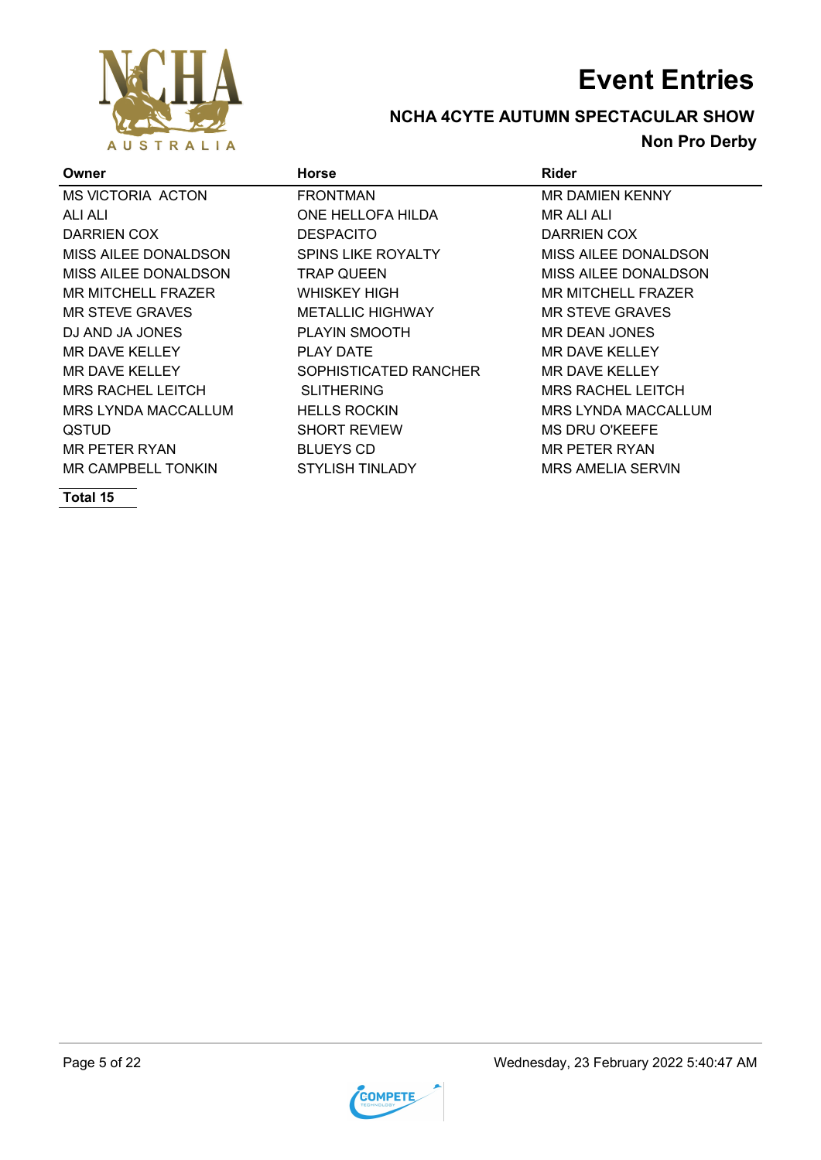

### **NCHA 4CYTE AUTUMN SPECTACULAR SHOW Non Pro Derby**

| Owner                     | <b>Horse</b>              | <b>Rider</b>              |
|---------------------------|---------------------------|---------------------------|
| <b>MS VICTORIA ACTON</b>  | <b>FRONTMAN</b>           | <b>MR DAMIEN KENNY</b>    |
| ALI ALI                   | ONE HELLOFA HILDA         | MR ALI ALI                |
| DARRIEN COX               | <b>DESPACITO</b>          | DARRIEN COX               |
| MISS AILEE DONALDSON      | <b>SPINS LIKE ROYALTY</b> | MISS AILEE DONALDSON      |
| MISS AILEE DONALDSON      | <b>TRAP QUEEN</b>         | MISS AILEE DONALDSON      |
| <b>MR MITCHELL FRAZER</b> | WHISKEY HIGH              | <b>MR MITCHELL FRAZER</b> |
| MR STEVE GRAVES           | <b>METALLIC HIGHWAY</b>   | <b>MR STEVE GRAVES</b>    |
| DJ AND JA JONES           | PLAYIN SMOOTH             | <b>MR DEAN JONES</b>      |
| MR DAVE KELLEY            | <b>PLAY DATE</b>          | MR DAVE KELLEY            |
| MR DAVE KELLEY            | SOPHISTICATED RANCHER     | <b>MR DAVE KELLEY</b>     |
| <b>MRS RACHEL LEITCH</b>  | <b>SLITHERING</b>         | <b>MRS RACHEL LEITCH</b>  |
| MRS LYNDA MACCALLUM       | <b>HELLS ROCKIN</b>       | MRS LYNDA MACCALLUM       |
| <b>QSTUD</b>              | <b>SHORT REVIEW</b>       | <b>MS DRU O'KEEFE</b>     |
| MR PETER RYAN             | <b>BLUEYS CD</b>          | <b>MR PETER RYAN</b>      |
| MR CAMPBELL TONKIN        | STYLISH TINLADY           | MRS AMELIA SERVIN         |



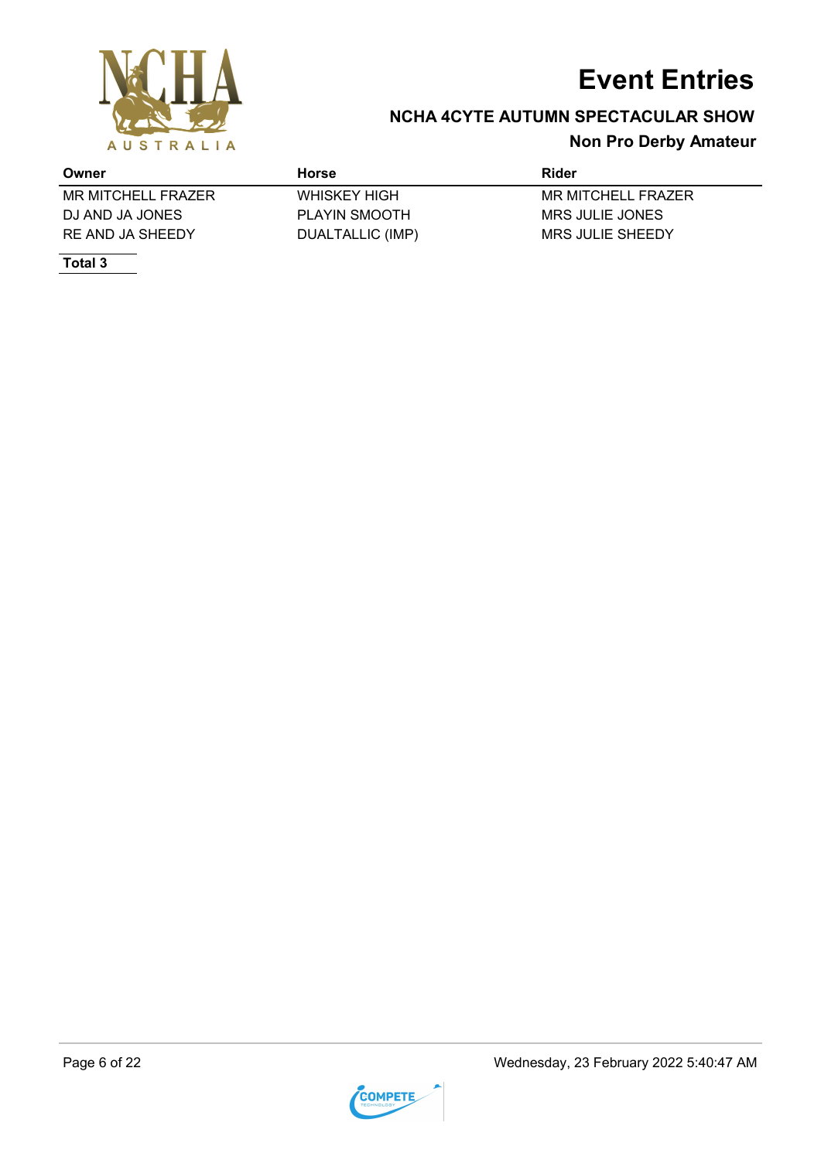

## **NCHA 4CYTE AUTUMN SPECTACULAR SHOW**

### **Non Pro Derby Amateur**

| Owner              | Horse                | Rider              |
|--------------------|----------------------|--------------------|
| MR MITCHELL FRAZER | <b>WHISKEY HIGH</b>  | MR MITCHELL FRAZER |
| DJ AND JA JONES    | <b>PLAYIN SMOOTH</b> | MRS JULIE JONES    |
| RE AND JA SHEEDY   | DUALTALLIC (IMP)     | MRS JULIE SHEEDY   |

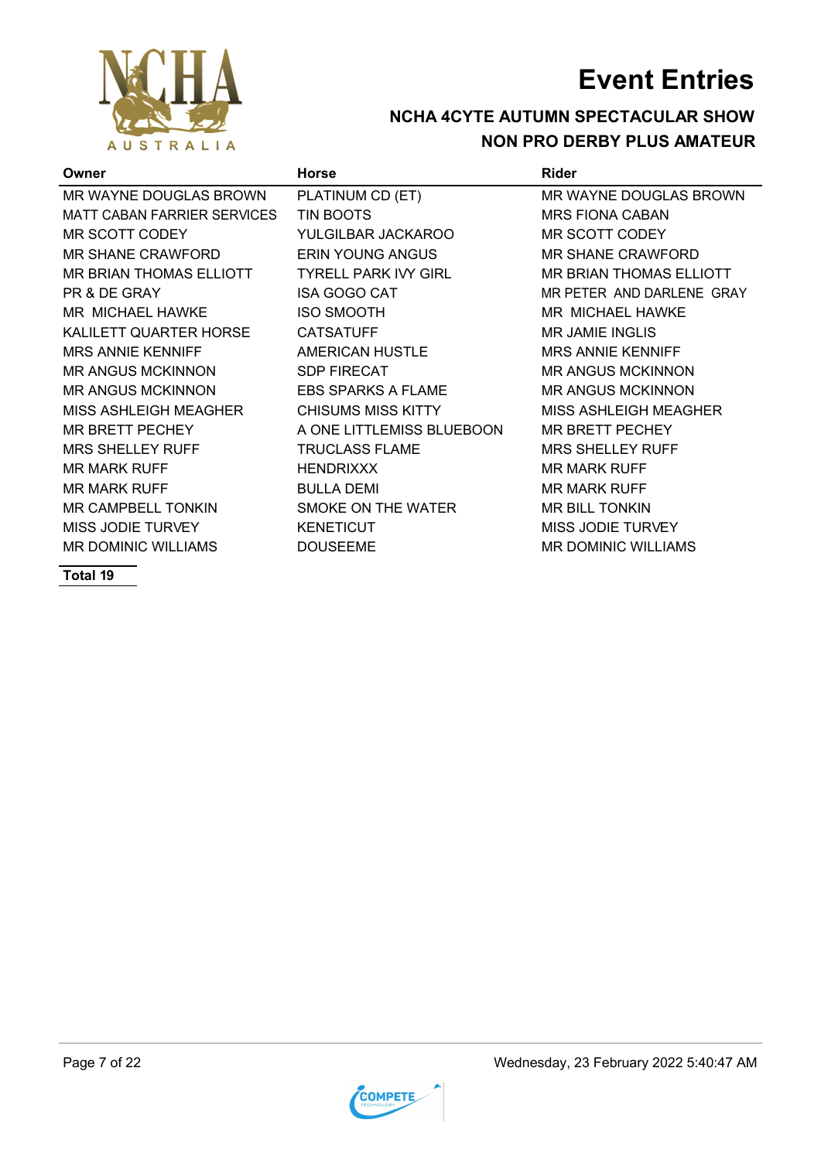

### **NCHA 4CYTE AUTUMN SPECTACULAR SHOW NON PRO DERBY PLUS AMATEUR**

| Owner                              | <b>Horse</b>                | Rider                        |
|------------------------------------|-----------------------------|------------------------------|
| MR WAYNE DOUGLAS BROWN             | PLATINUM CD (ET)            | MR WAYNE DOUGLAS BROWN       |
| <b>MATT CABAN FARRIER SERVICES</b> | TIN BOOTS                   | <b>MRS FIONA CABAN</b>       |
| MR SCOTT CODEY                     | YULGILBAR JACKAROO          | <b>MR SCOTT CODEY</b>        |
| MR SHANE CRAWFORD                  | <b>ERIN YOUNG ANGUS</b>     | <b>MR SHANE CRAWFORD</b>     |
| <b>MR BRIAN THOMAS ELLIOTT</b>     | <b>TYRELL PARK IVY GIRL</b> | MR BRIAN THOMAS ELLIOTT      |
| PR & DE GRAY                       | <b>ISA GOGO CAT</b>         | MR PETER AND DARLENE GRAY    |
| MR MICHAEL HAWKE                   | <b>ISO SMOOTH</b>           | MR MICHAEL HAWKE             |
| KALILETT QUARTER HORSE             | <b>CATSATUFF</b>            | <b>MR JAMIE INGLIS</b>       |
| <b>MRS ANNIE KENNIFF</b>           | <b>AMERICAN HUSTLE</b>      | <b>MRS ANNIE KENNIFF</b>     |
| <b>MR ANGUS MCKINNON</b>           | <b>SDP FIRECAT</b>          | <b>MR ANGUS MCKINNON</b>     |
| <b>MR ANGUS MCKINNON</b>           | <b>EBS SPARKS A FLAME</b>   | <b>MR ANGUS MCKINNON</b>     |
| <b>MISS ASHLEIGH MEAGHER</b>       | <b>CHISUMS MISS KITTY</b>   | <b>MISS ASHLEIGH MEAGHER</b> |
| <b>MR BRETT PECHEY</b>             | A ONE LITTLEMISS BLUEBOON   | <b>MR BRETT PECHEY</b>       |
| <b>MRS SHELLEY RUFF</b>            | <b>TRUCLASS FLAME</b>       | <b>MRS SHELLEY RUFF</b>      |
| <b>MR MARK RUFF</b>                | <b>HENDRIXXX</b>            | <b>MR MARK RUFF</b>          |
| <b>MR MARK RUFF</b>                | <b>BULLA DEMI</b>           | <b>MR MARK RUFF</b>          |
| <b>MR CAMPBELL TONKIN</b>          | SMOKE ON THE WATER          | <b>MR BILL TONKIN</b>        |
| MISS JODIE TURVEY                  | <b>KENETICUT</b>            | <b>MISS JODIE TURVEY</b>     |
| <b>MR DOMINIC WILLIAMS</b>         | <b>DOUSEEME</b>             | <b>MR DOMINIC WILLIAMS</b>   |
|                                    |                             |                              |

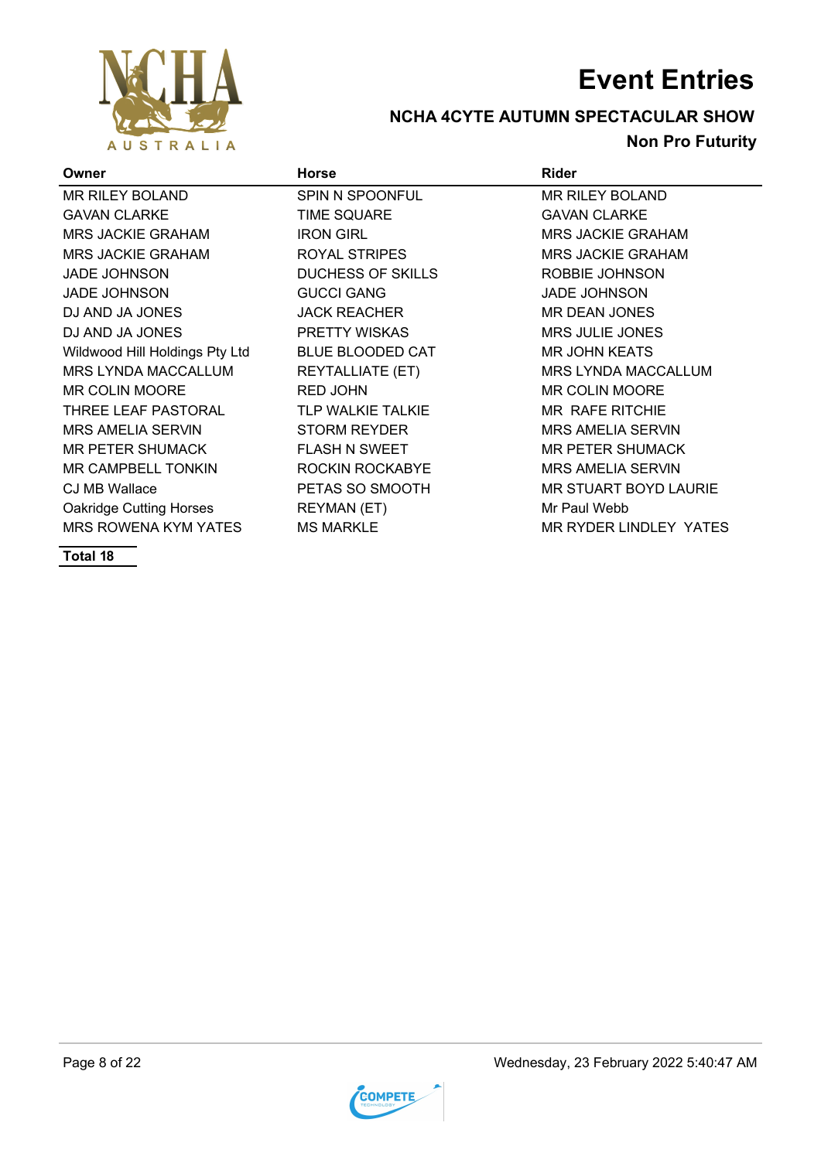

### **NCHA 4CYTE AUTUMN SPECTACULAR SHOW Non Pro Futurity**

| Owner                          | <b>Horse</b>             | <b>Rider</b>                 |
|--------------------------------|--------------------------|------------------------------|
| MR RILEY BOLAND                | <b>SPIN N SPOONFUL</b>   | <b>MR RILEY BOLAND</b>       |
| <b>GAVAN CLARKE</b>            | <b>TIME SQUARE</b>       | <b>GAVAN CLARKE</b>          |
| <b>MRS JACKIE GRAHAM</b>       | <b>IRON GIRL</b>         | <b>MRS JACKIE GRAHAM</b>     |
| <b>MRS JACKIE GRAHAM</b>       | ROYAL STRIPES            | <b>MRS JACKIE GRAHAM</b>     |
| <b>JADE JOHNSON</b>            | <b>DUCHESS OF SKILLS</b> | ROBBIE JOHNSON               |
| <b>JADE JOHNSON</b>            | <b>GUCCI GANG</b>        | <b>JADE JOHNSON</b>          |
| DJ AND JA JONES                | <b>JACK REACHER</b>      | MR DEAN JONES                |
| DJ AND JA JONES                | <b>PRETTY WISKAS</b>     | <b>MRS JULIE JONES</b>       |
| Wildwood Hill Holdings Pty Ltd | <b>BLUE BLOODED CAT</b>  | <b>MR JOHN KEATS</b>         |
| MRS LYNDA MACCALLUM            | <b>REYTALLIATE (ET)</b>  | <b>MRS LYNDA MACCALLUM</b>   |
| <b>MR COLIN MOORE</b>          | <b>RED JOHN</b>          | <b>MR COLIN MOORE</b>        |
| THREE LEAF PASTORAL            | TLP WALKIE TALKIE        | MR RAFE RITCHIE              |
| <b>MRS AMELIA SERVIN</b>       | <b>STORM REYDER</b>      | <b>MRS AMELIA SERVIN</b>     |
| MR PETER SHUMACK               | <b>FLASH N SWEET</b>     | <b>MR PETER SHUMACK</b>      |
| MR CAMPBELL TONKIN             | ROCKIN ROCKABYE          | <b>MRS AMELIA SERVIN</b>     |
| CJ MB Wallace                  | PETAS SO SMOOTH          | <b>MR STUART BOYD LAURIE</b> |
| <b>Oakridge Cutting Horses</b> | <b>REYMAN (ET)</b>       | Mr Paul Webb                 |
| MRS ROWENA KYM YATES           | <b>MS MARKLE</b>         | MR RYDER LINDLEY YATES       |

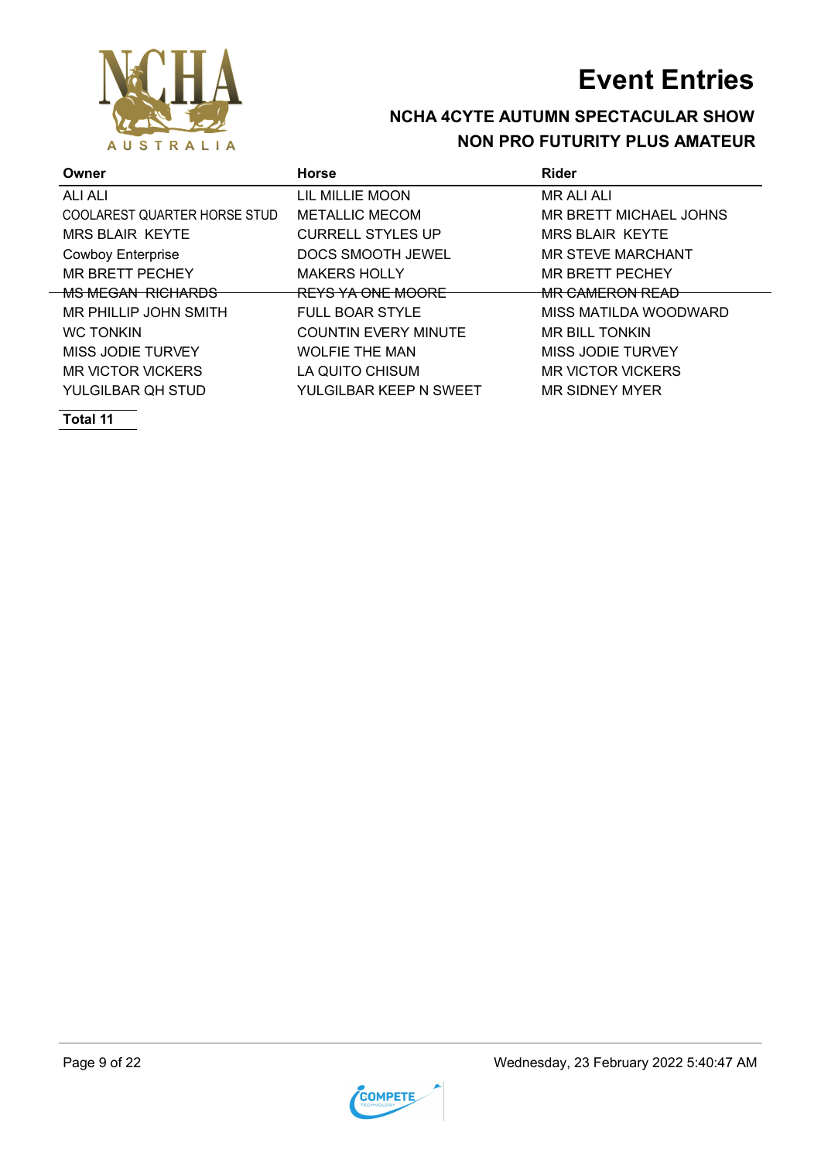

### **NCHA 4CYTE AUTUMN SPECTACULAR SHOW NON PRO FUTURITY PLUS AMATEUR**

| Owner                        | <b>Horse</b>                 | Rider                      |
|------------------------------|------------------------------|----------------------------|
| ALI ALI                      | LIL MILLIE MOON              | <b>MR ALI ALI</b>          |
| COOLAREST QUARTER HORSE STUD | <b>METALLIC MECOM</b>        | MR BRETT MICHAEL JOHNS     |
| <b>MRS BLAIR KEYTE</b>       | <b>CURRELL STYLES UP</b>     | <b>MRS BLAIR KEYTE</b>     |
| <b>Cowboy Enterprise</b>     | DOCS SMOOTH JEWEL            | <b>MR STEVE MARCHANT</b>   |
| <b>MR BRETT PECHEY</b>       | <b>MAKERS HOLLY</b>          | <b>MR BRETT PECHEY</b>     |
| <b>MS MEGAN RICHARDS</b>     | <del>REYS YA ONE MOORE</del> | <del>MR CAMERON READ</del> |
| MR PHILLIP JOHN SMITH        | <b>FULL BOAR STYLE</b>       | MISS MATILDA WOODWARD      |
| <b>WC TONKIN</b>             | <b>COUNTIN EVERY MINUTE</b>  | MR BILL TONKIN             |
| MISS JODIE TURVEY            | <b>WOLFIE THE MAN</b>        | MISS JODIE TURVEY          |
| <b>MR VICTOR VICKERS</b>     | LA QUITO CHISUM              | <b>MR VICTOR VICKERS</b>   |
| YULGILBAR OH STUD            | YULGILBAR KEEP N SWEET       | MR SIDNEY MYER             |

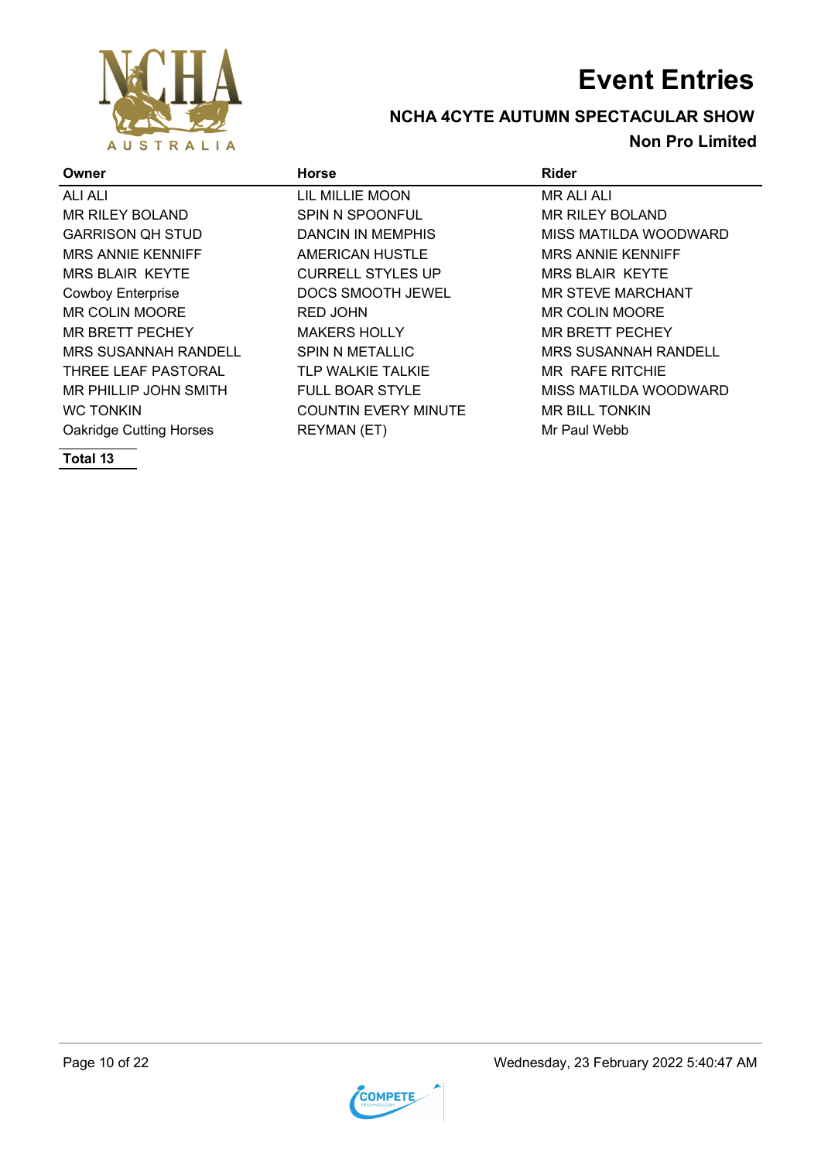

### **NCHA 4CYTE AUTUMN SPECTACULAR SHOW Non Pro Limited**

| Owner                          | <b>Horse</b>                | <b>Rider</b>                |
|--------------------------------|-----------------------------|-----------------------------|
| ALI ALI                        | LIL MILLIE MOON             | <b>MR ALI ALI</b>           |
| <b>MR RILEY BOLAND</b>         | <b>SPIN N SPOONFUL</b>      | <b>MR RILEY BOLAND</b>      |
| <b>GARRISON QH STUD</b>        | <b>DANCIN IN MEMPHIS</b>    | MISS MATILDA WOODWARD       |
| <b>MRS ANNIE KENNIFF</b>       | AMERICAN HUSTLE             | <b>MRS ANNIE KENNIFF</b>    |
| <b>MRS BLAIR KEYTE</b>         | <b>CURRELL STYLES UP</b>    | <b>MRS BLAIR KEYTE</b>      |
| <b>Cowboy Enterprise</b>       | DOCS SMOOTH JEWEL           | <b>MR STEVE MARCHANT</b>    |
| <b>MR COLIN MOORE</b>          | <b>RED JOHN</b>             | <b>MR COLIN MOORE</b>       |
| <b>MR BRETT PECHEY</b>         | <b>MAKERS HOLLY</b>         | <b>MR BRETT PECHEY</b>      |
| <b>MRS SUSANNAH RANDELL</b>    | <b>SPIN N METALLIC</b>      | <b>MRS SUSANNAH RANDELL</b> |
| THREE LEAF PASTORAL            | <b>TLP WALKIE TALKIE</b>    | MR RAFE RITCHIE             |
| MR PHILLIP JOHN SMITH          | <b>FULL BOAR STYLE</b>      | MISS MATILDA WOODWARD       |
| <b>WC TONKIN</b>               | <b>COUNTIN EVERY MINUTE</b> | <b>MR BILL TONKIN</b>       |
| <b>Oakridge Cutting Horses</b> | <b>REYMAN (ET)</b>          | Mr Paul Webb                |

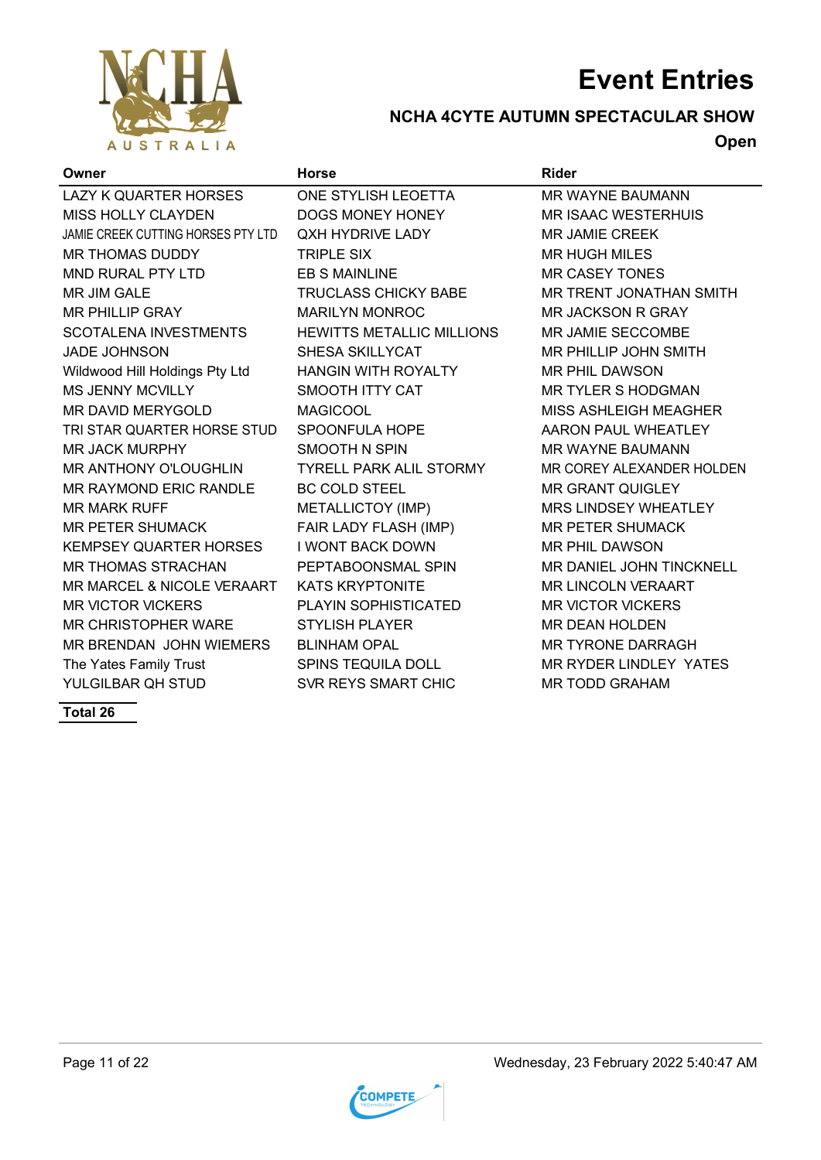

### **NCHA 4CYTE AUTUMN SPECTACULAR SHOW**

**Open**

| Owner                              | <b>Horse</b>                     | <b>Rider</b>                  |
|------------------------------------|----------------------------------|-------------------------------|
| <b>LAZY K QUARTER HORSES</b>       | ONE STYLISH LEOETTA              | <b>MR WAYNE BAUMANN</b>       |
| <b>MISS HOLLY CLAYDEN</b>          | <b>DOGS MONEY HONEY</b>          | <b>MR ISAAC WESTERHUIS</b>    |
| JAMIE CREEK CUTTING HORSES PTY LTD | <b>QXH HYDRIVE LADY</b>          | MR JAMIE CREEK                |
| <b>MR THOMAS DUDDY</b>             | <b>TRIPLE SIX</b>                | <b>MR HUGH MILES</b>          |
| <b>MND RURAL PTY LTD</b>           | <b>EB S MAINLINE</b>             | <b>MR CASEY TONES</b>         |
| <b>MR JIM GALE</b>                 | <b>TRUCLASS CHICKY BABE</b>      | MR TRENT JONATHAN SMITH       |
| <b>MR PHILLIP GRAY</b>             | <b>MARILYN MONROC</b>            | <b>MR JACKSON R GRAY</b>      |
| <b>SCOTALENA INVESTMENTS</b>       | <b>HEWITTS METALLIC MILLIONS</b> | MR JAMIE SECCOMBE             |
| <b>JADE JOHNSON</b>                | SHESA SKILLYCAT                  | MR PHILLIP JOHN SMITH         |
| Wildwood Hill Holdings Pty Ltd     | <b>HANGIN WITH ROYALTY</b>       | <b>MR PHIL DAWSON</b>         |
| <b>MS JENNY MCVILLY</b>            | SMOOTH ITTY CAT                  | <b>MR TYLER S HODGMAN</b>     |
| <b>MR DAVID MERYGOLD</b>           | <b>MAGICOOL</b>                  | MISS ASHLEIGH MEAGHER         |
| TRI STAR QUARTER HORSE STUD        | SPOONFULA HOPE                   | AARON PAUL WHEATLEY           |
| <b>MR JACK MURPHY</b>              | <b>SMOOTH N SPIN</b>             | <b>MR WAYNE BAUMANN</b>       |
| <b>MR ANTHONY O'LOUGHLIN</b>       | <b>TYRELL PARK ALIL STORMY</b>   | MR COREY ALEXANDER HOLDEN     |
| <b>MR RAYMOND ERIC RANDLE</b>      | <b>BC COLD STEEL</b>             | <b>MR GRANT QUIGLEY</b>       |
| <b>MR MARK RUFF</b>                | METALLICTOY (IMP)                | <b>MRS LINDSEY WHEATLEY</b>   |
| <b>MR PETER SHUMACK</b>            | FAIR LADY FLASH (IMP)            | <b>MR PETER SHUMACK</b>       |
| <b>KEMPSEY QUARTER HORSES</b>      | <b>I WONT BACK DOWN</b>          | <b>MR PHIL DAWSON</b>         |
| <b>MR THOMAS STRACHAN</b>          | PEPTABOONSMAL SPIN               | MR DANIEL JOHN TINCKNELL      |
| MR MARCEL & NICOLE VERAART         | <b>KATS KRYPTONITE</b>           | <b>MR LINCOLN VERAART</b>     |
| <b>MR VICTOR VICKERS</b>           | <b>PLAYIN SOPHISTICATED</b>      | <b>MR VICTOR VICKERS</b>      |
| <b>MR CHRISTOPHER WARE</b>         | <b>STYLISH PLAYER</b>            | <b>MR DEAN HOLDEN</b>         |
| MR BRENDAN JOHN WIEMERS            | <b>BLINHAM OPAL</b>              | <b>MR TYRONE DARRAGH</b>      |
| The Yates Family Trust             | <b>SPINS TEQUILA DOLL</b>        | <b>MR RYDER LINDLEY YATES</b> |
| YULGILBAR QH STUD                  | SVR REYS SMART CHIC              | <b>MR TODD GRAHAM</b>         |

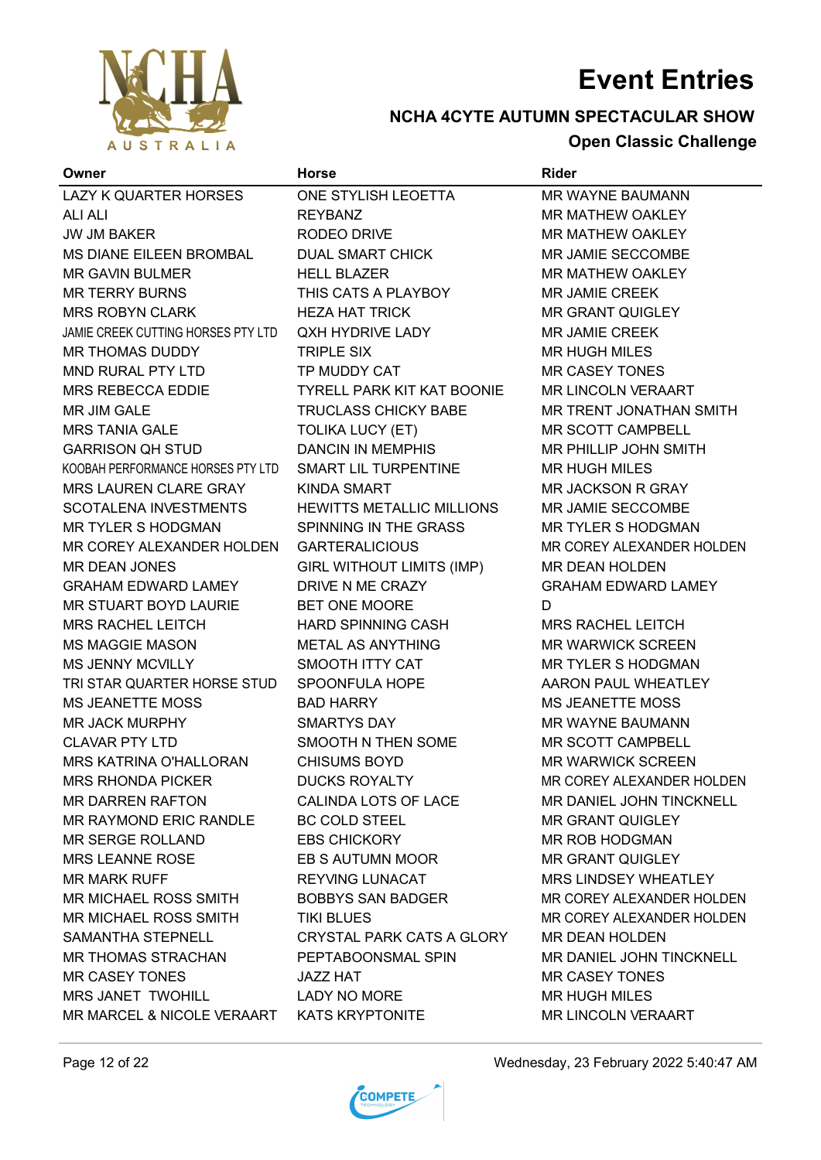

### **NCHA 4CYTE AUTUMN SPECTACULAR SHOW Open Classic Challenge**

| Owner                              | <b>Horse</b>                      | Rider                       |
|------------------------------------|-----------------------------------|-----------------------------|
| LAZY K QUARTER HORSES              | ONE STYLISH LEOETTA               | MR WAYNE BAUMANN            |
| <b>ALI ALI</b>                     | <b>REYBANZ</b>                    | <b>MR MATHEW OAKLEY</b>     |
| <b>JW JM BAKER</b>                 | RODEO DRIVE                       | MR MATHEW OAKLEY            |
| MS DIANE EILEEN BROMBAL            | <b>DUAL SMART CHICK</b>           | <b>MR JAMIE SECCOMBE</b>    |
| <b>MR GAVIN BULMER</b>             | <b>HELL BLAZER</b>                | <b>MR MATHEW OAKLEY</b>     |
| <b>MR TERRY BURNS</b>              | THIS CATS A PLAYBOY               | <b>MR JAMIE CREEK</b>       |
| <b>MRS ROBYN CLARK</b>             | <b>HEZA HAT TRICK</b>             | <b>MR GRANT QUIGLEY</b>     |
| JAMIE CREEK CUTTING HORSES PTY LTD | QXH HYDRIVE LADY                  | <b>MR JAMIE CREEK</b>       |
| MR THOMAS DUDDY                    | <b>TRIPLE SIX</b>                 | <b>MR HUGH MILES</b>        |
| MND RURAL PTY LTD                  | TP MUDDY CAT                      | <b>MR CASEY TONES</b>       |
| <b>MRS REBECCA EDDIE</b>           | <b>TYRELL PARK KIT KAT BOONIE</b> | <b>MR LINCOLN VERAART</b>   |
| MR JIM GALE                        | <b>TRUCLASS CHICKY BABE</b>       | MR TRENT JONATHAN SMITH     |
| <b>MRS TANIA GALE</b>              | <b>TOLIKA LUCY (ET)</b>           | MR SCOTT CAMPBELL           |
| <b>GARRISON QH STUD</b>            | <b>DANCIN IN MEMPHIS</b>          | MR PHILLIP JOHN SMITH       |
| KOOBAH PERFORMANCE HORSES PTY LTD  | SMART LIL TURPENTINE              | <b>MR HUGH MILES</b>        |
| <b>MRS LAUREN CLARE GRAY</b>       | <b>KINDA SMART</b>                | <b>MR JACKSON R GRAY</b>    |
| <b>SCOTALENA INVESTMENTS</b>       | <b>HEWITTS METALLIC MILLIONS</b>  | <b>MR JAMIE SECCOMBE</b>    |
| <b>MR TYLER S HODGMAN</b>          | SPINNING IN THE GRASS             | <b>MR TYLER S HODGMAN</b>   |
| MR COREY ALEXANDER HOLDEN          | <b>GARTERALICIOUS</b>             | MR COREY ALEXANDER HOLDEN   |
| <b>MR DEAN JONES</b>               | GIRL WITHOUT LIMITS (IMP)         | <b>MR DEAN HOLDEN</b>       |
| <b>GRAHAM EDWARD LAMEY</b>         | DRIVE N ME CRAZY                  | <b>GRAHAM EDWARD LAMEY</b>  |
| MR STUART BOYD LAURIE              | BET ONE MOORE                     | D                           |
| <b>MRS RACHEL LEITCH</b>           | <b>HARD SPINNING CASH</b>         | <b>MRS RACHEL LEITCH</b>    |
| <b>MS MAGGIE MASON</b>             | <b>METAL AS ANYTHING</b>          | <b>MR WARWICK SCREEN</b>    |
| MS JENNY MCVILLY                   | SMOOTH ITTY CAT                   | <b>MR TYLER S HODGMAN</b>   |
| TRI STAR QUARTER HORSE STUD        | SPOONFULA HOPE                    | AARON PAUL WHEATLEY         |
| <b>MS JEANETTE MOSS</b>            | <b>BAD HARRY</b>                  | <b>MS JEANETTE MOSS</b>     |
| <b>MR JACK MURPHY</b>              | SMARTYS DAY                       | <b>MR WAYNE BAUMANN</b>     |
| <b>CLAVAR PTY LTD</b>              | SMOOTH N THEN SOME                | MR SCOTT CAMPBELL           |
| <b>MRS KATRINA O'HALLORAN</b>      | <b>CHISUMS BOYD</b>               | <b>MR WARWICK SCREEN</b>    |
| <b>MRS RHONDA PICKER</b>           | <b>DUCKS ROYALTY</b>              | MR COREY ALEXANDER HOLDEN   |
| MR DARREN RAFTON                   | CALINDA LOTS OF LACE              | MR DANIEL JOHN TINCKNELL    |
| <b>MR RAYMOND ERIC RANDLE</b>      | <b>BC COLD STEEL</b>              | <b>MR GRANT QUIGLEY</b>     |
| <b>MR SERGE ROLLAND</b>            | <b>EBS CHICKORY</b>               | <b>MR ROB HODGMAN</b>       |
| <b>MRS LEANNE ROSE</b>             | EB S AUTUMN MOOR                  | <b>MR GRANT QUIGLEY</b>     |
| <b>MR MARK RUFF</b>                | <b>REYVING LUNACAT</b>            | <b>MRS LINDSEY WHEATLEY</b> |
| <b>MR MICHAEL ROSS SMITH</b>       | <b>BOBBYS SAN BADGER</b>          | MR COREY ALEXANDER HOLDEN   |
| MR MICHAEL ROSS SMITH              | <b>TIKI BLUES</b>                 | MR COREY ALEXANDER HOLDEN   |
| <b>SAMANTHA STEPNELL</b>           | <b>CRYSTAL PARK CATS A GLORY</b>  | <b>MR DEAN HOLDEN</b>       |
| <b>MR THOMAS STRACHAN</b>          | PEPTABOONSMAL SPIN                | MR DANIEL JOHN TINCKNELL    |
| <b>MR CASEY TONES</b>              | JAZZ HAT                          | <b>MR CASEY TONES</b>       |
| <b>MRS JANET TWOHILL</b>           | <b>LADY NO MORE</b>               | <b>MR HUGH MILES</b>        |
| MR MARCEL & NICOLE VERAART         | <b>KATS KRYPTONITE</b>            | <b>MR LINCOLN VERAART</b>   |
|                                    |                                   |                             |



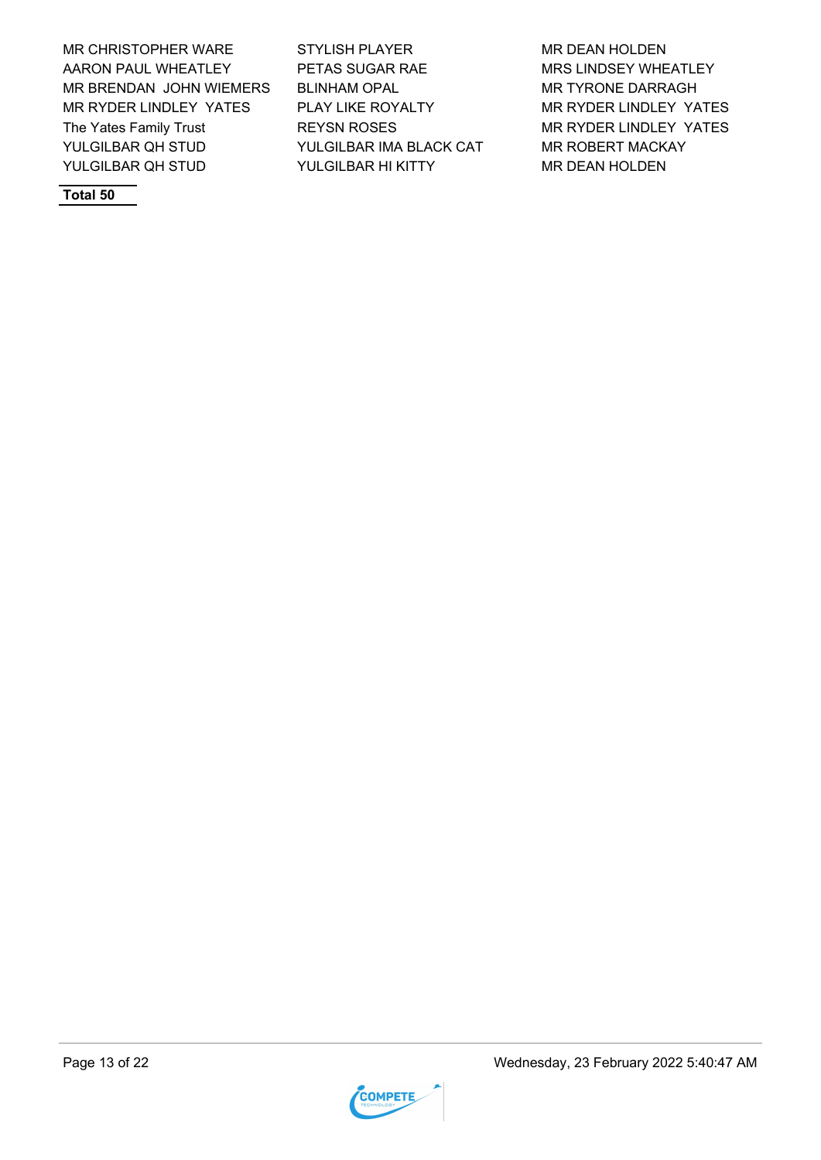MR CHRISTOPHER WARE STYLISH PLAYER MR DEAN HOLDEN AARON PAUL WHEATLEY PETAS SUGAR RAE MRS LINDSEY WHEATLEY MR BRENDAN JOHN WIEMERS BLINHAM OPAL MR TYRONE DARRAGH MR RYDER LINDLEY YATES PLAY LIKE ROYALTY MR RYDER LINDLEY YATES The Yates Family Trust **REYSN ROSES** MR RYDER LINDLEY YATES YULGILBAR QH STUD YULGILBAR IMA BLACK CAT MR ROBERT MACKAY YULGILBAR QH STUD YULGILBAR HI KITTY MR DEAN HOLDEN

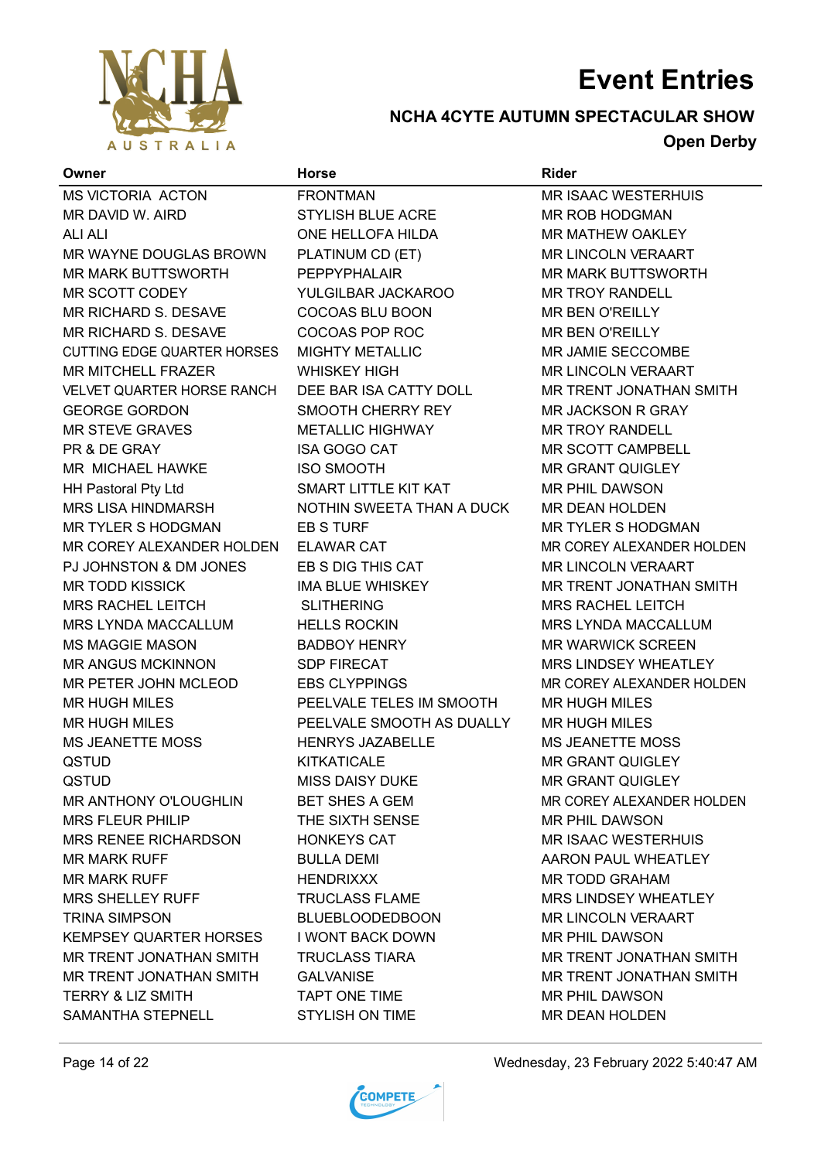

### **NCHA 4CYTE AUTUMN SPECTACULAR SHOW Open Derby**

| Owner                              | <b>Horse</b>              | <b>Rider</b>               |
|------------------------------------|---------------------------|----------------------------|
| MS VICTORIA ACTON                  | <b>FRONTMAN</b>           | <b>MR ISAAC WESTERHUIS</b> |
| MR DAVID W. AIRD                   | <b>STYLISH BLUE ACRE</b>  | MR ROB HODGMAN             |
| <b>ALI ALI</b>                     | ONE HELLOFA HILDA         | MR MATHEW OAKLEY           |
| MR WAYNE DOUGLAS BROWN             | PLATINUM CD (ET)          | <b>MR LINCOLN VERAART</b>  |
| <b>MR MARK BUTTSWORTH</b>          | <b>PEPPYPHALAIR</b>       | <b>MR MARK BUTTSWORTH</b>  |
| MR SCOTT CODEY                     | YULGILBAR JACKAROO        | <b>MR TROY RANDELL</b>     |
| MR RICHARD S. DESAVE               | COCOAS BLU BOON           | <b>MR BEN O'REILLY</b>     |
| MR RICHARD S. DESAVE               | COCOAS POP ROC            | MR BEN O'REILLY            |
| <b>CUTTING EDGE QUARTER HORSES</b> | <b>MIGHTY METALLIC</b>    | MR JAMIE SECCOMBE          |
| <b>MR MITCHELL FRAZER</b>          | <b>WHISKEY HIGH</b>       | <b>MR LINCOLN VERAART</b>  |
| VELVET QUARTER HORSE RANCH         | DEE BAR ISA CATTY DOLL    | MR TRENT JONATHAN SMITH    |
| <b>GEORGE GORDON</b>               | SMOOTH CHERRY REY         | MR JACKSON R GRAY          |
| <b>MR STEVE GRAVES</b>             | <b>METALLIC HIGHWAY</b>   | <b>MR TROY RANDELL</b>     |
| PR & DE GRAY                       | <b>ISA GOGO CAT</b>       | <b>MR SCOTT CAMPBELL</b>   |
| MR MICHAEL HAWKE                   | <b>ISO SMOOTH</b>         | <b>MR GRANT QUIGLEY</b>    |
| <b>HH Pastoral Pty Ltd</b>         | SMART LITTLE KIT KAT      | MR PHIL DAWSON             |
| MRS LISA HINDMARSH                 | NOTHIN SWEETA THAN A DUCK | MR DEAN HOLDEN             |
| MR TYLER S HODGMAN                 | EB S TURF                 | <b>MR TYLER S HODGMAN</b>  |
| MR COREY ALEXANDER HOLDEN          | <b>ELAWAR CAT</b>         | MR COREY ALEXANDER HOLDEN  |
| PJ JOHNSTON & DM JONES             | EB S DIG THIS CAT         | <b>MR LINCOLN VERAART</b>  |
| <b>MR TODD KISSICK</b>             | IMA BLUE WHISKEY          | MR TRENT JONATHAN SMITH    |
| MRS RACHEL LEITCH                  | <b>SLITHERING</b>         | <b>MRS RACHEL LEITCH</b>   |
| MRS LYNDA MACCALLUM                | <b>HELLS ROCKIN</b>       | MRS LYNDA MACCALLUM        |
| <b>MS MAGGIE MASON</b>             | <b>BADBOY HENRY</b>       | <b>MR WARWICK SCREEN</b>   |
| <b>MR ANGUS MCKINNON</b>           | <b>SDP FIRECAT</b>        | MRS LINDSEY WHEATLEY       |
| MR PETER JOHN MCLEOD               | <b>EBS CLYPPINGS</b>      | MR COREY ALEXANDER HOLDEN  |
| <b>MR HUGH MILES</b>               | PEELVALE TELES IM SMOOTH  | <b>MR HUGH MILES</b>       |
| <b>MR HUGH MILES</b>               | PEELVALE SMOOTH AS DUALLY | <b>MR HUGH MILES</b>       |
| <b>MS JEANETTE MOSS</b>            | <b>HENRYS JAZABELLE</b>   | <b>MS JEANETTE MOSS</b>    |
| QSTUD                              | <b>KITKATICALE</b>        | <b>MR GRANT QUIGLEY</b>    |
| QSTUD                              | <b>MISS DAISY DUKE</b>    | <b>MR GRANT QUIGLEY</b>    |
| MR ANTHONY O'LOUGHLIN              | <b>BET SHES A GEM</b>     | MR COREY ALEXANDER HOLDEN  |
| <b>MRS FLEUR PHILIP</b>            | THE SIXTH SENSE           | MR PHIL DAWSON             |
| <b>MRS RENEE RICHARDSON</b>        | <b>HONKEYS CAT</b>        | <b>MR ISAAC WESTERHUIS</b> |
| <b>MR MARK RUFF</b>                | <b>BULLA DEMI</b>         | AARON PAUL WHEATLEY        |
| <b>MR MARK RUFF</b>                | <b>HENDRIXXX</b>          | <b>MR TODD GRAHAM</b>      |
| MRS SHELLEY RUFF                   | <b>TRUCLASS FLAME</b>     | MRS LINDSEY WHEATLEY       |
| <b>TRINA SIMPSON</b>               | <b>BLUEBLOODEDBOON</b>    | <b>MR LINCOLN VERAART</b>  |
| KEMPSEY QUARTER HORSES             | <b>I WONT BACK DOWN</b>   | <b>MR PHIL DAWSON</b>      |
| MR TRENT JONATHAN SMITH            | <b>TRUCLASS TIARA</b>     | MR TRENT JONATHAN SMITH    |
| MR TRENT JONATHAN SMITH            | <b>GALVANISE</b>          | MR TRENT JONATHAN SMITH    |
| <b>TERRY &amp; LIZ SMITH</b>       | TAPT ONE TIME             | MR PHIL DAWSON             |
| SAMANTHA STEPNELL                  | <b>STYLISH ON TIME</b>    | MR DEAN HOLDEN             |
|                                    |                           |                            |

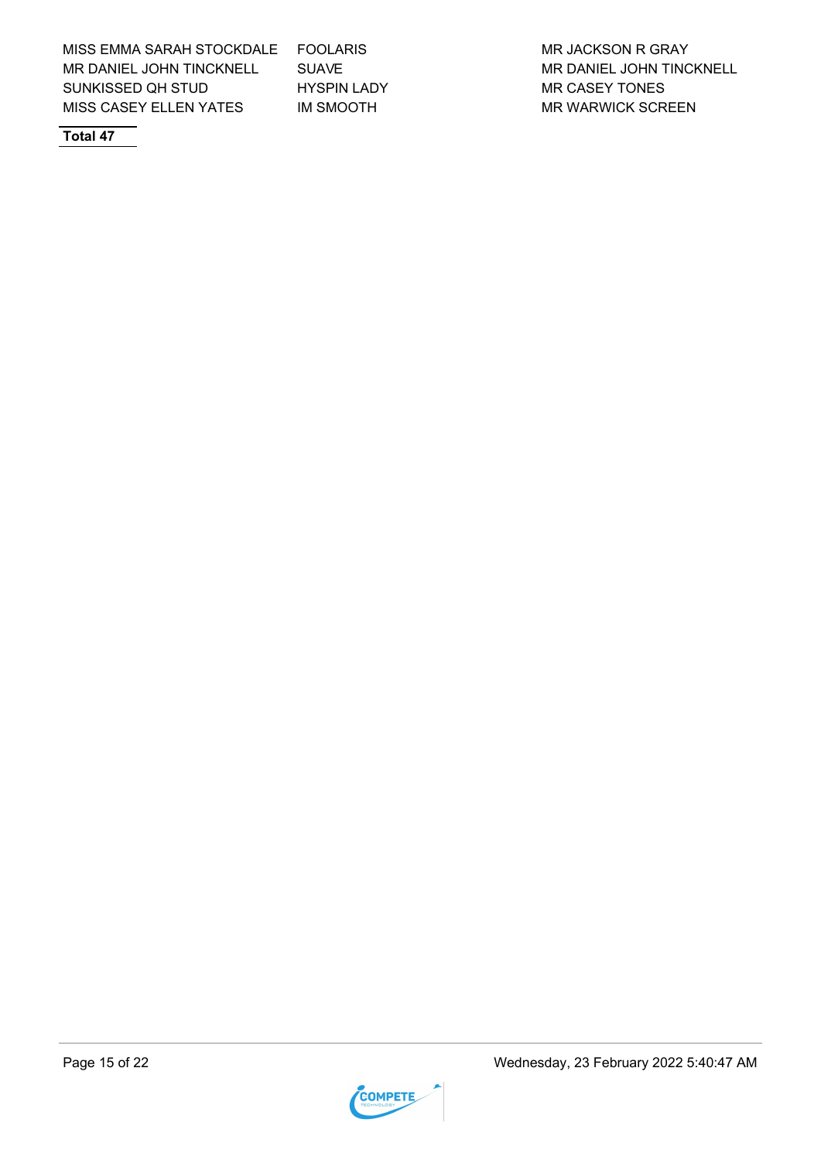MISS EMMA SARAH STOCKDALE FOOLARIS MARIA AND MR JACKSON R GRAY MR DANIEL JOHN TINCKNELL SUAVE SUAVE MR DANIEL JOHN TINCKNELL SUNKISSED QH STUD HYSPIN LADY MR CASEY TONES MISS CASEY ELLEN YATES MISMOOTH MR WARWICK SCREEN

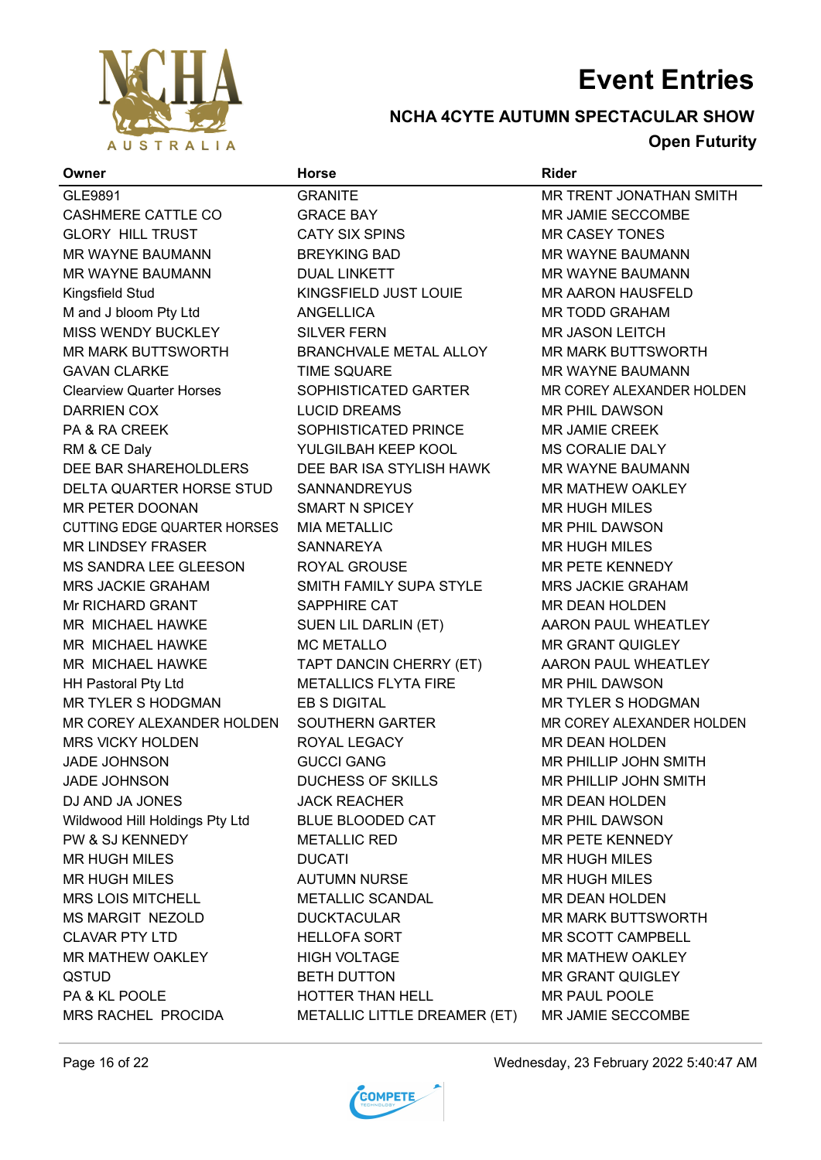

## **NCHA 4CYTE AUTUMN SPECTACULAR SHOW**

## **Open Futurity**

| Owner                              | <b>Horse</b>                 | <b>Rider</b>              |
|------------------------------------|------------------------------|---------------------------|
| GLE9891                            | <b>GRANITE</b>               | MR TRENT JONATHAN SMITH   |
| <b>CASHMERE CATTLE CO</b>          | <b>GRACE BAY</b>             | MR JAMIE SECCOMBE         |
| <b>GLORY HILL TRUST</b>            | <b>CATY SIX SPINS</b>        | <b>MR CASEY TONES</b>     |
| MR WAYNE BAUMANN                   | <b>BREYKING BAD</b>          | MR WAYNE BAUMANN          |
| MR WAYNE BAUMANN                   | <b>DUAL LINKETT</b>          | MR WAYNE BAUMANN          |
| Kingsfield Stud                    | KINGSFIELD JUST LOUIE        | <b>MR AARON HAUSFELD</b>  |
| M and J bloom Pty Ltd              | <b>ANGELLICA</b>             | <b>MR TODD GRAHAM</b>     |
| MISS WENDY BUCKLEY                 | <b>SILVER FERN</b>           | <b>MR JASON LEITCH</b>    |
| MR MARK BUTTSWORTH                 | BRANCHVALE METAL ALLOY       | <b>MR MARK BUTTSWORTH</b> |
| <b>GAVAN CLARKE</b>                | <b>TIME SQUARE</b>           | MR WAYNE BAUMANN          |
| <b>Clearview Quarter Horses</b>    | SOPHISTICATED GARTER         | MR COREY ALEXANDER HOLDEN |
| <b>DARRIEN COX</b>                 | <b>LUCID DREAMS</b>          | <b>MR PHIL DAWSON</b>     |
| PA & RA CREEK                      | SOPHISTICATED PRINCE         | MR JAMIE CREEK            |
| RM & CE Daly                       | YULGILBAH KEEP KOOL          | MS CORALIE DALY           |
| DEE BAR SHAREHOLDLERS              | DEE BAR ISA STYLISH HAWK     | <b>MR WAYNE BAUMANN</b>   |
| DELTA QUARTER HORSE STUD           | <b>SANNANDREYUS</b>          | <b>MR MATHEW OAKLEY</b>   |
| MR PETER DOONAN                    | SMART N SPICEY               | <b>MR HUGH MILES</b>      |
| <b>CUTTING EDGE QUARTER HORSES</b> | <b>MIA METALLIC</b>          | MR PHIL DAWSON            |
| <b>MR LINDSEY FRASER</b>           | <b>SANNAREYA</b>             | <b>MR HUGH MILES</b>      |
| MS SANDRA LEE GLEESON              | ROYAL GROUSE                 | MR PETE KENNEDY           |
| <b>MRS JACKIE GRAHAM</b>           | SMITH FAMILY SUPA STYLE      | <b>MRS JACKIE GRAHAM</b>  |
| Mr RICHARD GRANT                   | SAPPHIRE CAT                 | MR DEAN HOLDEN            |
| MR MICHAEL HAWKE                   | SUEN LIL DARLIN (ET)         | AARON PAUL WHEATLEY       |
| MR MICHAEL HAWKE                   | <b>MC METALLO</b>            | <b>MR GRANT QUIGLEY</b>   |
| MR MICHAEL HAWKE                   | TAPT DANCIN CHERRY (ET)      | AARON PAUL WHEATLEY       |
| <b>HH Pastoral Pty Ltd</b>         | <b>METALLICS FLYTA FIRE</b>  | <b>MR PHIL DAWSON</b>     |
| <b>MR TYLER S HODGMAN</b>          | <b>EB S DIGITAL</b>          | <b>MR TYLER S HODGMAN</b> |
| MR COREY ALEXANDER HOLDEN          | SOUTHERN GARTER              | MR COREY ALEXANDER HOLDEN |
| <b>MRS VICKY HOLDEN</b>            | ROYAL LEGACY                 | <b>MR DEAN HOLDEN</b>     |
| <b>JADE JOHNSON</b>                | <b>GUCCI GANG</b>            | MR PHILLIP JOHN SMITH     |
| <b>JADE JOHNSON</b>                | <b>DUCHESS OF SKILLS</b>     | MR PHILLIP JOHN SMITH     |
| DJ AND JA JONES                    | <b>JACK REACHER</b>          | MR DEAN HOLDEN            |
| Wildwood Hill Holdings Pty Ltd     | BLUE BLOODED CAT             | MR PHIL DAWSON            |
| PW & SJ KENNEDY                    | <b>METALLIC RED</b>          | MR PETE KENNEDY           |
| <b>MR HUGH MILES</b>               | <b>DUCATI</b>                | <b>MR HUGH MILES</b>      |
| MR HUGH MILES                      | <b>AUTUMN NURSE</b>          | <b>MR HUGH MILES</b>      |
| MRS LOIS MITCHELL                  | <b>METALLIC SCANDAL</b>      | MR DEAN HOLDEN            |
| MS MARGIT NEZOLD                   | <b>DUCKTACULAR</b>           | <b>MR MARK BUTTSWORTH</b> |
| <b>CLAVAR PTY LTD</b>              | <b>HELLOFA SORT</b>          | MR SCOTT CAMPBELL         |
| MR MATHEW OAKLEY                   | <b>HIGH VOLTAGE</b>          | MR MATHEW OAKLEY          |
| <b>QSTUD</b>                       | <b>BETH DUTTON</b>           | <b>MR GRANT QUIGLEY</b>   |
| PA & KL POOLE                      | HOTTER THAN HELL             | MR PAUL POOLE             |
| MRS RACHEL PROCIDA                 | METALLIC LITTLE DREAMER (ET) | MR JAMIE SECCOMBE         |
|                                    |                              |                           |



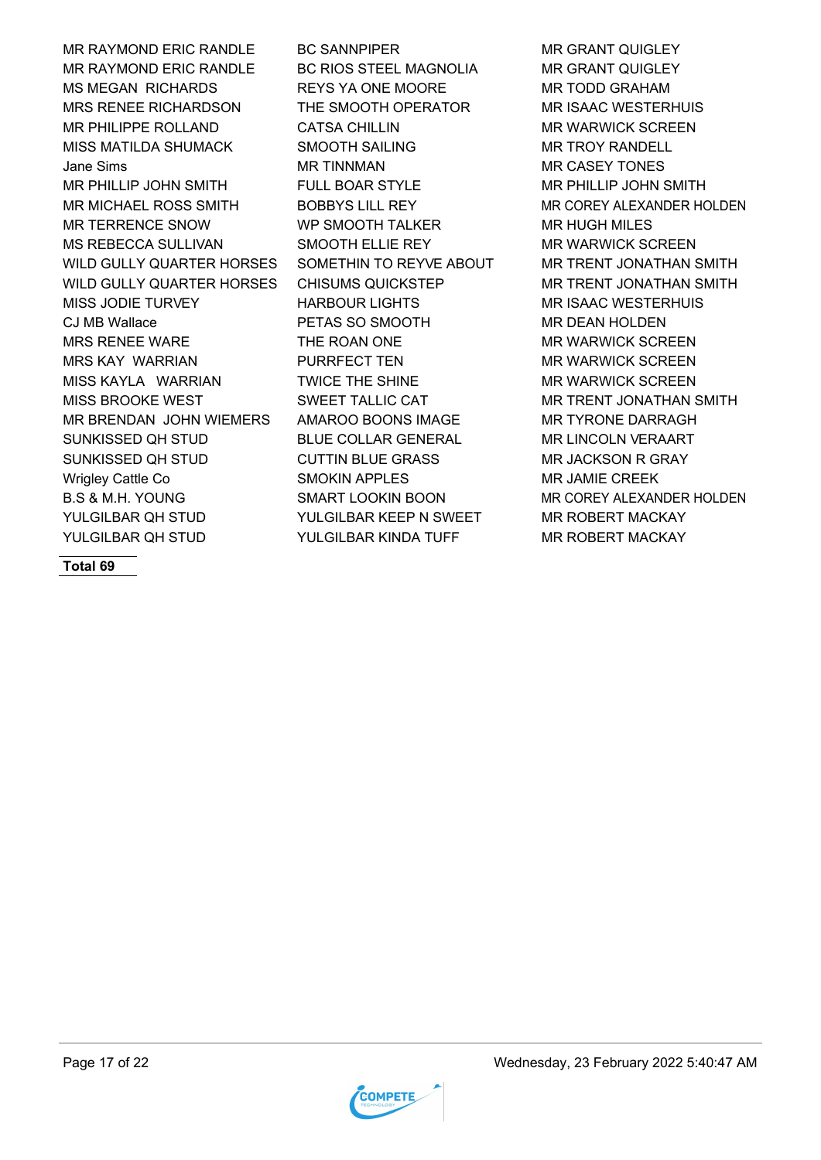MR RAYMOND ERIC RANDLE BC SANNPIPER MR GRANT QUIGLEY MR RAYMOND ERIC RANDLE BC RIOS STEEL MAGNOLIA MR GRANT QUIGLEY MS MEGAN RICHARDS REYS YA ONE MOORE MOOR MAR TODD GRAHAM MRS RENEE RICHARDSON THE SMOOTH OPERATOR MR ISAAC WESTERHUIS MR PHILIPPE ROLLAND CATSA CHILLIN MR WARWICK SCREEN MISS MATILDA SHUMACK SMOOTH SAILING GEARL ON TROY RANDELL Jane Sims **MR TINNMAN MR TINNMAN** MR CASEY TONES MR PHILLIP JOHN SMITH FULL BOAR STYLE MR PHILLIP JOHN SMITH MR MICHAEL ROSS SMITH BOBBYS LILL REY MR COREY ALEXANDER HOLDEN MR TERRENCE SNOW WP SMOOTH TALKER MR HUGH MILES MS REBECCA SULLIVAN SMOOTH ELLIE REY MR WARWICK SCREEN WILD GULLY QUARTER HORSES SOMETHIN TO REYVE ABOUT MR TRENT JONATHAN SMITH WILD GULLY QUARTER HORSES CHISUMS QUICKSTEP MR TRENT JONATHAN SMITH MISS JODIE TURVEY HARBOUR LIGHTS MR ISAAC WESTERHUIS CJ MB Wallace PETAS SO SMOOTH MR DEAN HOLDEN MRS RENEE WARE THE ROAN ONE THE MR WARWICK SCREEN MRS KAY WARRIAN PURRFECT TEN MR WARWICK SCREEN MISS KAYLA WARRIAN TWICE THE SHINE MR WARWICK SCREEN MISS BROOKE WEST **SWEET TALLIC CAT TALLIC CAT** MR TRENT JONATHAN SMITH MR BRENDAN JOHN WIEMERS AMAROO BOONS IMAGE MR TYRONE DARRAGH SUNKISSED QH STUD BLUE COLLAR GENERAL MR LINCOLN VERAART SUNKISSED QH STUD CUTTIN BLUE GRASS THE MR JACKSON R GRAY Wrigley Cattle Co **SMOKIN APPLES** MR JAMIE CREEK B.S & M.H. YOUNG SMART LOOKIN BOON MR COREY ALEXANDER HOLDEN YULGILBAR QH STUD YULGILBAR KEEP N SWEET MAR ROBERT MACKAY YULGILBAR QH STUD YULGILBAR KINDA TUFF MR ROBERT MACKAY



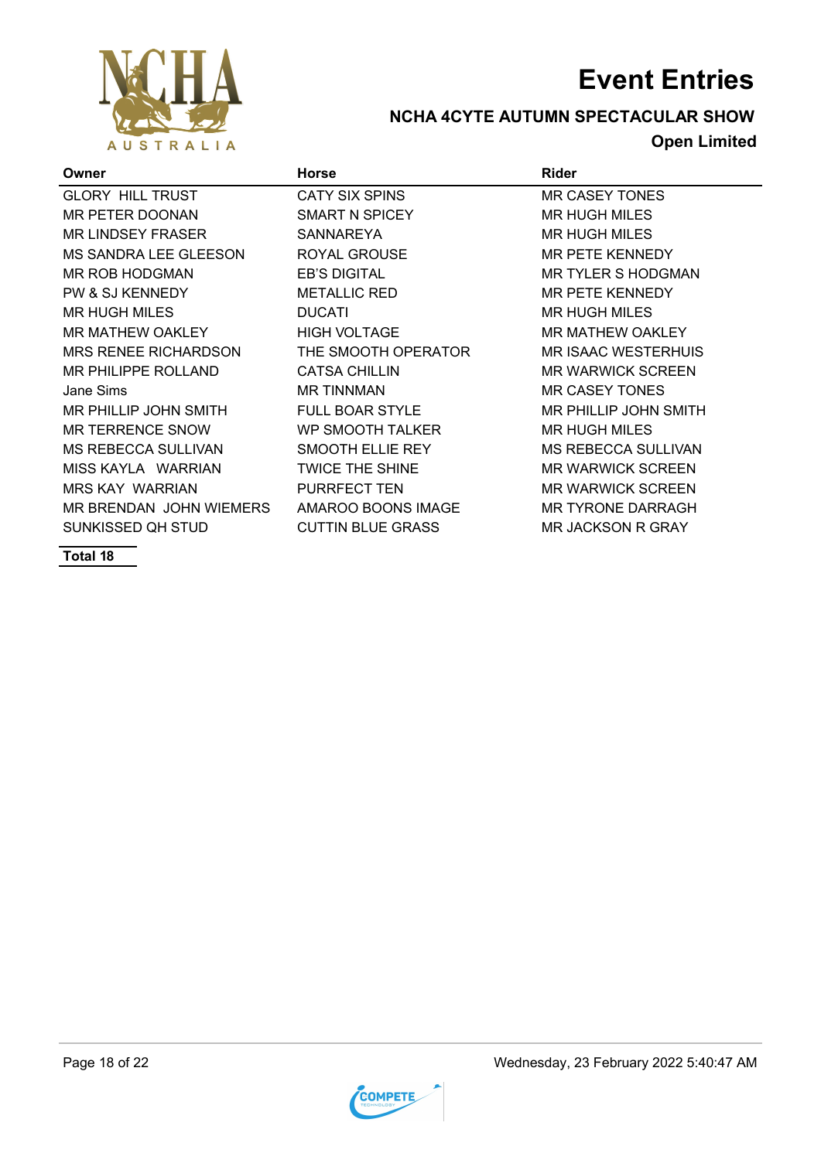

### **NCHA 4CYTE AUTUMN SPECTACULAR SHOW Open Limited**

| Owner                       | <b>Horse</b>             | <b>Rider</b>                 |
|-----------------------------|--------------------------|------------------------------|
| <b>GLORY HILL TRUST</b>     | CATY SIX SPINS           | <b>MR CASEY TONES</b>        |
| <b>MR PETER DOONAN</b>      | SMART N SPICEY           | <b>MR HUGH MILES</b>         |
| <b>MR LINDSEY FRASER</b>    | <b>SANNAREYA</b>         | <b>MR HUGH MILES</b>         |
| MS SANDRA LEE GLEESON       | ROYAL GROUSE             | <b>MR PETE KENNEDY</b>       |
| <b>MR ROB HODGMAN</b>       | <b>EB'S DIGITAL</b>      | <b>MR TYLER S HODGMAN</b>    |
| PW & SJ KENNEDY             | <b>METALLIC RED</b>      | <b>MR PETE KENNEDY</b>       |
| <b>MR HUGH MILES</b>        | <b>DUCATI</b>            | <b>MR HUGH MILES</b>         |
| MR MATHEW OAKLEY            | <b>HIGH VOLTAGE</b>      | <b>MR MATHEW OAKLEY</b>      |
| <b>MRS RENEE RICHARDSON</b> | THE SMOOTH OPERATOR      | <b>MR ISAAC WESTERHUIS</b>   |
| <b>MR PHILIPPE ROLLAND</b>  | <b>CATSA CHILLIN</b>     | <b>MR WARWICK SCREEN</b>     |
| Jane Sims                   | <b>MR TINNMAN</b>        | <b>MR CASEY TONES</b>        |
| MR PHILLIP JOHN SMITH       | <b>FULL BOAR STYLE</b>   | <b>MR PHILLIP JOHN SMITH</b> |
| <b>MR TERRENCE SNOW</b>     | <b>WP SMOOTH TALKER</b>  | <b>MR HUGH MILES</b>         |
| <b>MS REBECCA SULLIVAN</b>  | SMOOTH ELLIE REY         | <b>MS REBECCA SULLIVAN</b>   |
| MISS KAYLA WARRIAN          | <b>TWICE THE SHINE</b>   | <b>MR WARWICK SCREEN</b>     |
| <b>MRS KAY WARRIAN</b>      | <b>PURRFECT TEN</b>      | <b>MR WARWICK SCREEN</b>     |
| MR BRENDAN JOHN WIEMERS     | AMAROO BOONS IMAGE       | <b>MR TYRONE DARRAGH</b>     |
| SUNKISSED QH STUD           | <b>CUTTIN BLUE GRASS</b> | <b>MR JACKSON R GRAY</b>     |

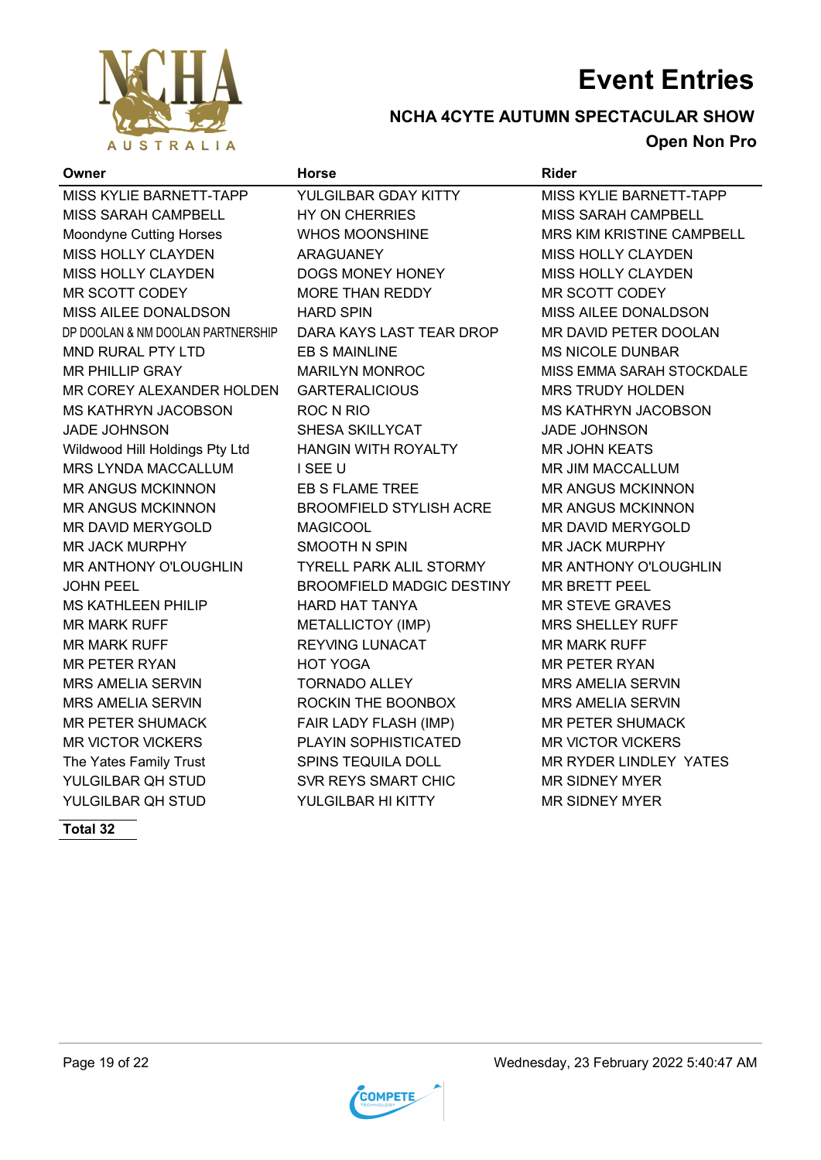

### **NCHA 4CYTE AUTUMN SPECTACULAR SHOW Open Non Pro**

### **Owner Horse Rider** MISS KYLIE BARNETT-TAPP YULGILBAR GDAY KITTY MISS KYLIE BARNETT-TAPP MISS SARAH CAMPBELL HY ON CHERRIES MISS SARAH CAMPBELL Moondyne Cutting Horses **MACH MICHOCONSHING MACHOTA MRS KIM KRISTINE CAMPBELL** MISS HOLLY CLAYDEN ARAGUANEY MISS HOLLY CLAYDEN MISS HOLLY CLAYDEN DOGS MONEY HONEY MISS HOLLY CLAYDEN MR SCOTT CODEY **MORE THAN REDDY** MR SCOTT CODEY MISS AILEE DONALDSON HARD SPIN MISS AILEE DONALDSON DP DOOLAN & NM DOOLAN PARTNERSHIP DARA KAYS LAST TEAR DROP MR DAVID PETER DOOLAN MND RURAL PTY LTD EB S MAINLINE MS NICOLE DUNBAR MR PHILLIP GRAY MARILYN MONROC MISS EMMA SARAH STOCKDALE MR COREY ALEXANDER HOLDEN GARTERALICIOUS MRS TRUDY HOLDEN MS KATHRYN JACOBSON ROC N RIO MS KATHRYN JACOBSON JADE JOHNSON SHESA SKILLYCAT JADE JOHNSON Wildwood Hill Holdings Pty Ltd HANGIN WITH ROYALTY MR JOHN KEATS MRS LYNDA MACCALLUM I SEE U GALAM MR JIM MACCALLUM MR ANGUS MCKINNON EB S FLAME TREE MR ANGUS MCKINNON MR ANGUS MCKINNON BROOMFIELD STYLISH ACRE MR ANGUS MCKINNON MR DAVID MERYGOLD MAGICOOL MAGICOOL MR DAVID MERYGOLD MR JACK MURPHY SMOOTH N SPIN MR JACK MURPHY MR ANTHONY O'LOUGHLIN TYRELL PARK ALIL STORMY MR ANTHONY O'LOUGHLIN JOHN PEEL BROOMFIELD MADGIC DESTINY MR BRETT PEEL MS KATHLEEN PHILIP HARD HAT TANYA MR STEVE GRAVES MR MARK RUFF **METALLICTOY (IMP)** MRS SHELLEY RUFF MR MARK RUFF **REYVING LUNACAT MR MARK RUFF** MR MARK RUFF MR PETER RYAN FRIED HOT YOGA THE MAN MR PETER RYAN MRS AMELIA SERVIN TORNADO ALLEY MRS AMELIA SERVIN MRS AMELIA SERVIN ROCKIN THE BOONBOX MRS AMELIA SERVIN MR PETER SHUMACK FAIR LADY FLASH (IMP) MR PETER SHUMACK MR VICTOR VICKERS PLAYIN SOPHISTICATED MR VICTOR VICKERS The Yates Family Trust Transform SPINS TEQUILA DOLL The YATES MR RYDER LINDLEY YATES YULGILBAR QH STUD SVR REYS SMART CHIC GALL MAN SIDNEY MYER YULGILBAR QH STUD YULGILBAR HI KITTY MR SIDNEY MYER

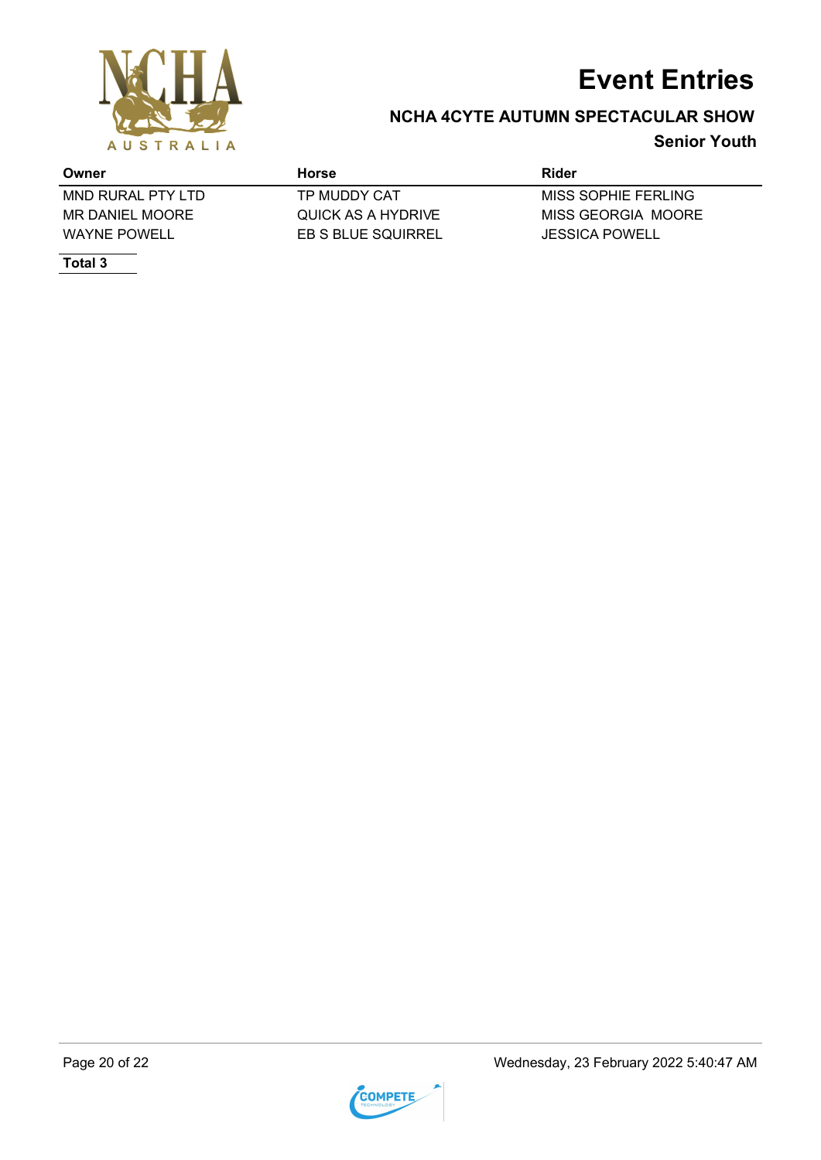

### **NCHA 4CYTE AUTUMN SPECTACULAR SHOW**

### **Senior Youth**

| Owner               | Horse              | Rider               |
|---------------------|--------------------|---------------------|
| MND RURAL PTY LTD   | TP MUDDY CAT       | MISS SOPHIE FERLING |
| MR DANIEL MOORE     | QUICK AS A HYDRIVE | MISS GEORGIA MOORE  |
| <b>WAYNE POWELL</b> | EB S BLUE SQUIRREL | JESSICA POWELL      |
| Total 3             |                    |                     |

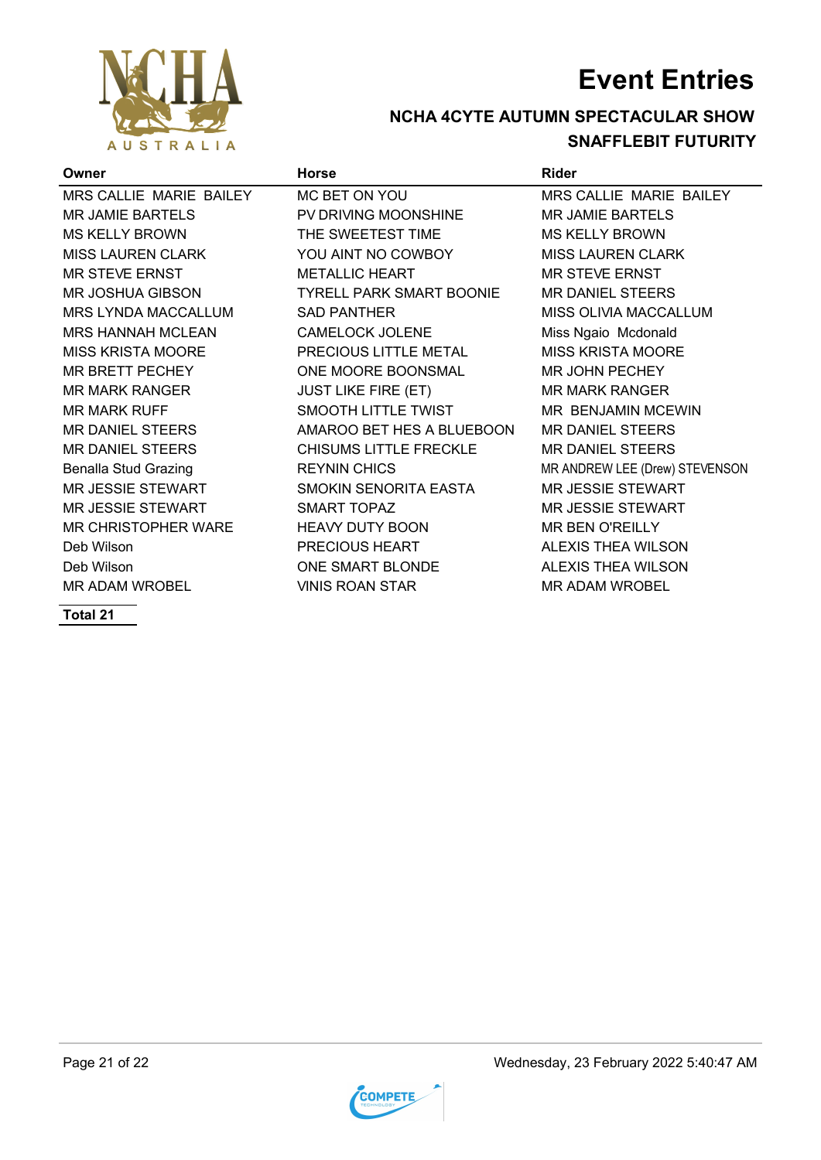

### **NCHA 4CYTE AUTUMN SPECTACULAR SHOW SNAFFLEBIT FUTURITY**

| Owner                       | <b>Horse</b>                    | Rider                          |
|-----------------------------|---------------------------------|--------------------------------|
| MRS CALLIE MARIE BAILEY     | MC BET ON YOU                   | MRS CALLIE MARIE BAILEY        |
| <b>MR JAMIE BARTELS</b>     | PV DRIVING MOONSHINE            | <b>MR JAMIE BARTELS</b>        |
| <b>MS KELLY BROWN</b>       | THE SWEETEST TIME               | <b>MS KELLY BROWN</b>          |
| <b>MISS LAUREN CLARK</b>    | YOU AINT NO COWBOY              | <b>MISS LAUREN CLARK</b>       |
| <b>MR STEVE ERNST</b>       | <b>METALLIC HEART</b>           | MR STEVE ERNST                 |
| <b>MR JOSHUA GIBSON</b>     | <b>TYRELL PARK SMART BOONIE</b> | <b>MR DANIEL STEERS</b>        |
| <b>MRS LYNDA MACCALLUM</b>  | <b>SAD PANTHER</b>              | MISS OLIVIA MACCALLUM          |
| <b>MRS HANNAH MCLEAN</b>    | <b>CAMELOCK JOLENE</b>          | Miss Ngaio Mcdonald            |
| <b>MISS KRISTA MOORE</b>    | PRECIOUS LITTLE METAL           | <b>MISS KRISTA MOORE</b>       |
| <b>MR BRETT PECHEY</b>      | ONE MOORE BOONSMAL              | MR JOHN PECHEY                 |
| <b>MR MARK RANGER</b>       | <b>JUST LIKE FIRE (ET)</b>      | <b>MR MARK RANGER</b>          |
| <b>MR MARK RUFF</b>         | <b>SMOOTH LITTLE TWIST</b>      | MR BENJAMIN MCEWIN             |
| <b>MR DANIEL STEERS</b>     | AMAROO BET HES A BLUEBOON       | <b>MR DANIEL STEERS</b>        |
| <b>MR DANIEL STEERS</b>     | CHISUMS LITTLE FRECKLE          | <b>MR DANIEL STEERS</b>        |
| <b>Benalla Stud Grazing</b> | <b>REYNIN CHICS</b>             | MR ANDREW LEE (Drew) STEVENSON |
| <b>MR JESSIE STEWART</b>    | SMOKIN SENORITA EASTA           | <b>MR JESSIE STEWART</b>       |
| <b>MR JESSIE STEWART</b>    | <b>SMART TOPAZ</b>              | <b>MR JESSIE STEWART</b>       |
| MR CHRISTOPHER WARE         | <b>HEAVY DUTY BOON</b>          | <b>MR BEN O'REILLY</b>         |
| Deb Wilson                  | PRECIOUS HEART                  | <b>ALEXIS THEA WILSON</b>      |
| Deb Wilson                  | ONE SMART BLONDE                | <b>ALEXIS THEA WILSON</b>      |
| <b>MR ADAM WROBEL</b>       | <b>VINIS ROAN STAR</b>          | <b>MR ADAM WROBEL</b>          |
|                             |                                 |                                |